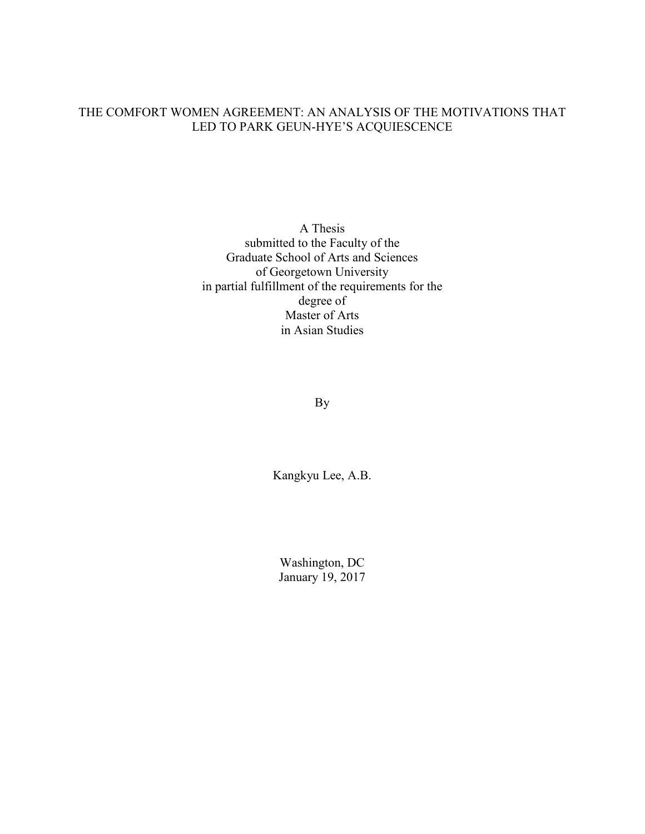## THE COMFORT WOMEN AGREEMENT: AN ANALYSIS OF THE MOTIVATIONS THAT LED TO PARK GEUN-HYE'S ACQUIESCENCE

A Thesis submitted to the Faculty of the Graduate School of Arts and Sciences of Georgetown University in partial fulfillment of the requirements for the degree of Master of Arts in Asian Studies

By

Kangkyu Lee, A.B.

Washington, DC January 19, 2017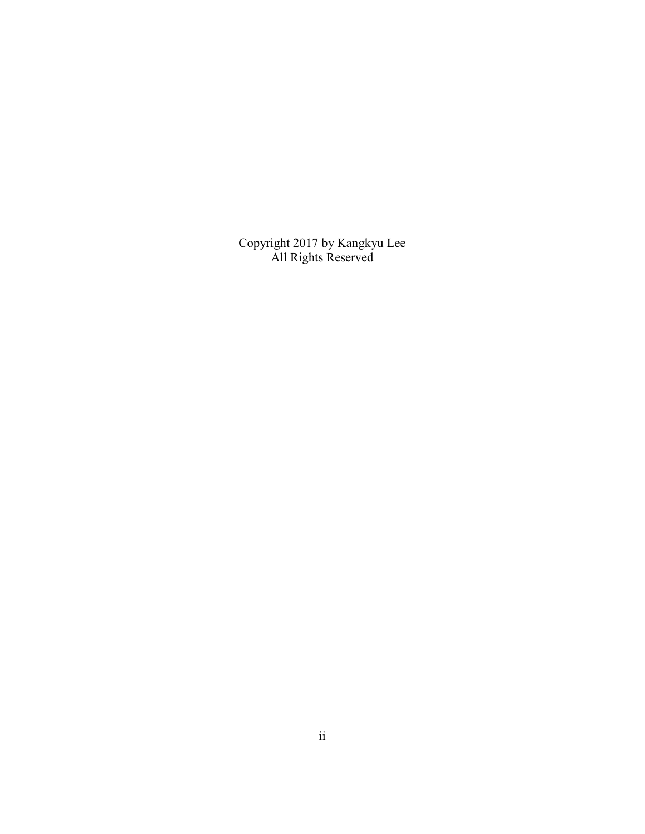Copyright 2017 by Kangkyu Lee All Rights Reserved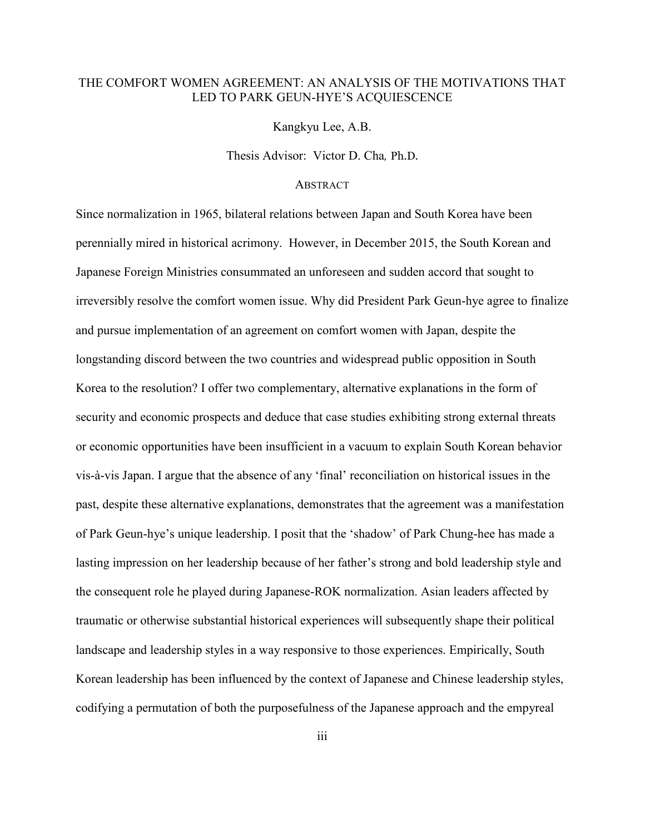## THE COMFORT WOMEN AGREEMENT: AN ANALYSIS OF THE MOTIVATIONS THAT LED TO PARK GEUN-HYE'S ACQUIESCENCE

Kangkyu Lee, A.B.

Thesis Advisor:Victor D. Cha*,* Ph.D.

## **ABSTRACT**

Since normalization in 1965, bilateral relations between Japan and South Korea have been perennially mired in historical acrimony. However, in December 2015, the South Korean and Japanese Foreign Ministries consummated an unforeseen and sudden accord that sought to irreversibly resolve the comfort women issue. Why did President Park Geun-hye agree to finalize and pursue implementation of an agreement on comfort women with Japan, despite the longstanding discord between the two countries and widespread public opposition in South Korea to the resolution? I offer two complementary, alternative explanations in the form of security and economic prospects and deduce that case studies exhibiting strong external threats or economic opportunities have been insufficient in a vacuum to explain South Korean behavior vis-à-vis Japan. I argue that the absence of any 'final' reconciliation on historical issues in the past, despite these alternative explanations, demonstrates that the agreement was a manifestation of Park Geun-hye's unique leadership. I posit that the 'shadow' of Park Chung-hee has made a lasting impression on her leadership because of her father's strong and bold leadership style and the consequent role he played during Japanese-ROK normalization. Asian leaders affected by traumatic or otherwise substantial historical experiences will subsequently shape their political landscape and leadership styles in a way responsive to those experiences. Empirically, South Korean leadership has been influenced by the context of Japanese and Chinese leadership styles, codifying a permutation of both the purposefulness of the Japanese approach and the empyreal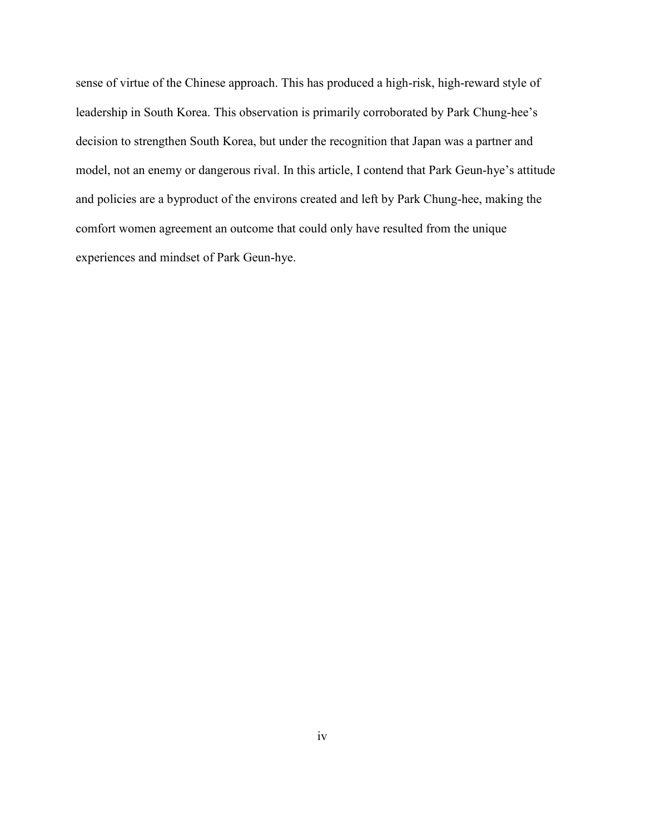sense of virtue of the Chinese approach. This has produced a high-risk, high-reward style of leadership in South Korea. This observation is primarily corroborated by Park Chung-hee's decision to strengthen South Korea, but under the recognition that Japan was a partner and model, not an enemy or dangerous rival. In this article, I contend that Park Geun-hye's attitude and policies are a byproduct of the environs created and left by Park Chung-hee, making the comfort women agreement an outcome that could only have resulted from the unique experiences and mindset of Park Geun-hye.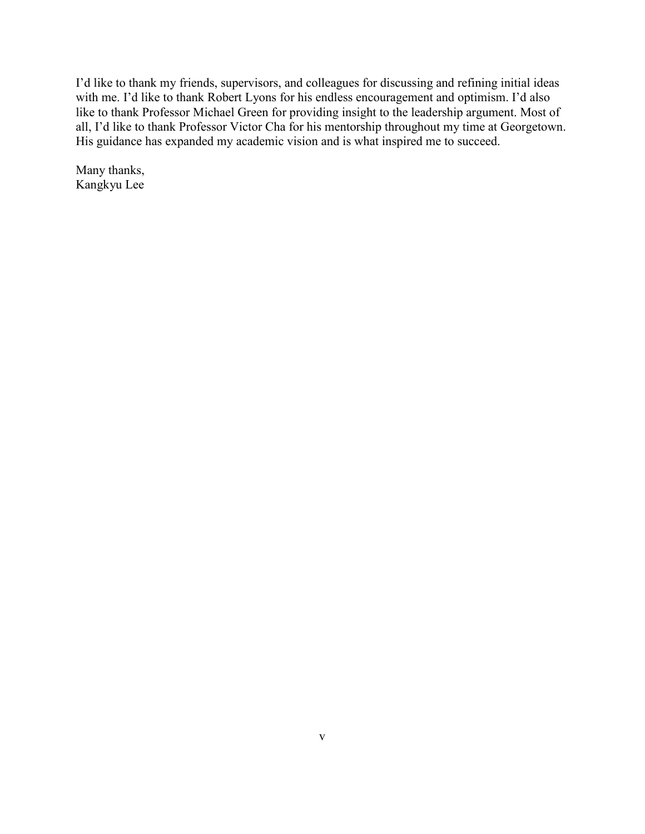I'd like to thank my friends, supervisors, and colleagues for discussing and refining initial ideas with me. I'd like to thank Robert Lyons for his endless encouragement and optimism. I'd also like to thank Professor Michael Green for providing insight to the leadership argument. Most of all, I'd like to thank Professor Victor Cha for his mentorship throughout my time at Georgetown. His guidance has expanded my academic vision and is what inspired me to succeed.

Many thanks, Kangkyu Lee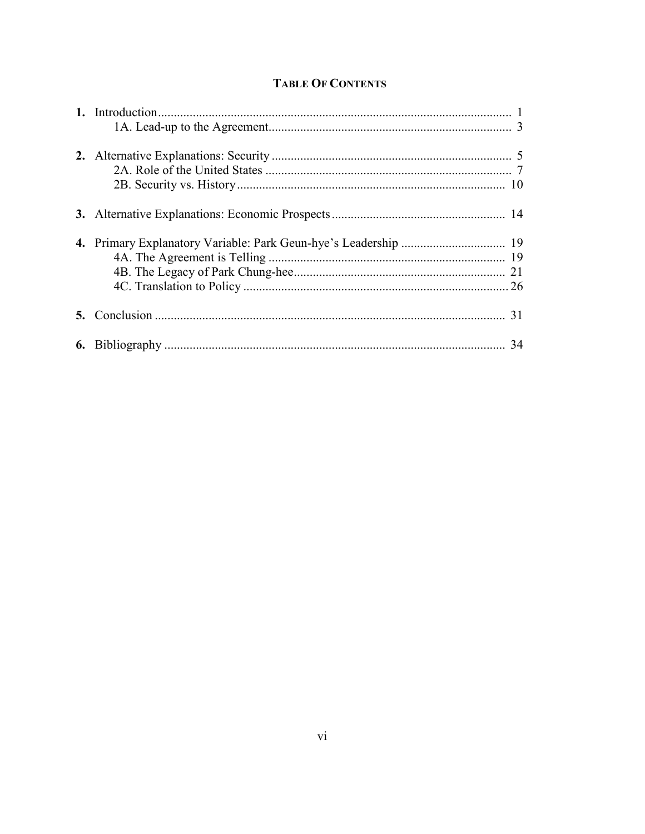# **TABLE OF CONTENTS**

|  | 31 |
|--|----|
|  | 34 |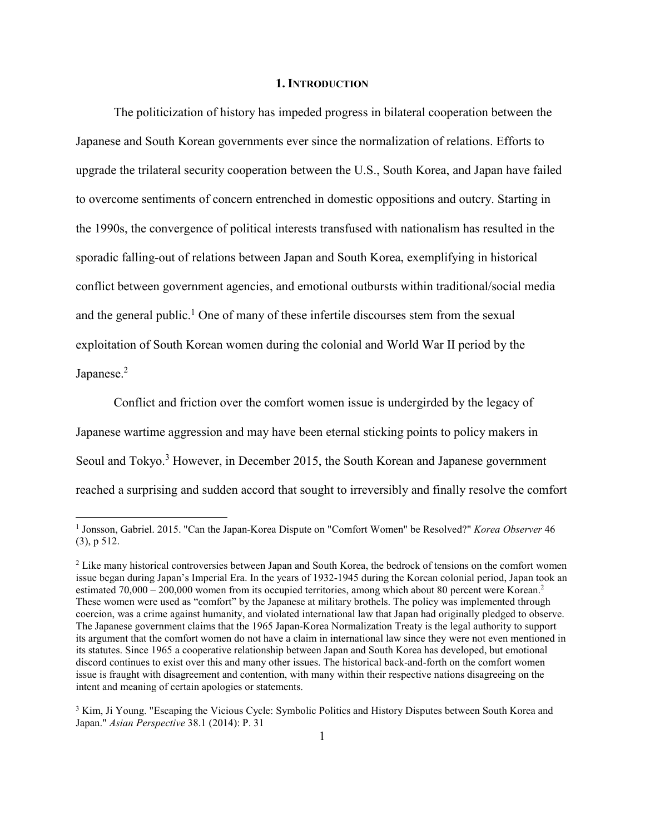### **1. INTRODUCTION**

 The politicization of history has impeded progress in bilateral cooperation between the Japanese and South Korean governments ever since the normalization of relations. Efforts to upgrade the trilateral security cooperation between the U.S., South Korea, and Japan have failed to overcome sentiments of concern entrenched in domestic oppositions and outcry. Starting in the 1990s, the convergence of political interests transfused with nationalism has resulted in the sporadic falling-out of relations between Japan and South Korea, exemplifying in historical conflict between government agencies, and emotional outbursts within traditional/social media and the general public.<sup>1</sup> One of many of these infertile discourses stem from the sexual exploitation of South Korean women during the colonial and World War II period by the Japanese.<sup>2</sup>

 Conflict and friction over the comfort women issue is undergirded by the legacy of Japanese wartime aggression and may have been eternal sticking points to policy makers in Seoul and Tokyo.<sup>3</sup> However, in December 2015, the South Korean and Japanese government reached a surprising and sudden accord that sought to irreversibly and finally resolve the comfort

<u>.</u>

<sup>&</sup>lt;sup>1</sup> Jonsson, Gabriel. 2015. "Can the Japan-Korea Dispute on "Comfort Women" be Resolved?" *Korea Observer* 46 (3), p 512.

<sup>&</sup>lt;sup>2</sup> Like many historical controversies between Japan and South Korea, the bedrock of tensions on the comfort women issue began during Japan's Imperial Era. In the years of 1932-1945 during the Korean colonial period, Japan took an estimated 70,000 – 200,000 women from its occupied territories, among which about 80 percent were Korean.<sup>2</sup> These women were used as "comfort" by the Japanese at military brothels. The policy was implemented through coercion, was a crime against humanity, and violated international law that Japan had originally pledged to observe. The Japanese government claims that the 1965 Japan-Korea Normalization Treaty is the legal authority to support its argument that the comfort women do not have a claim in international law since they were not even mentioned in its statutes. Since 1965 a cooperative relationship between Japan and South Korea has developed, but emotional discord continues to exist over this and many other issues. The historical back-and-forth on the comfort women issue is fraught with disagreement and contention, with many within their respective nations disagreeing on the intent and meaning of certain apologies or statements.

<sup>&</sup>lt;sup>3</sup> Kim, Ji Young. "Escaping the Vicious Cycle: Symbolic Politics and History Disputes between South Korea and Japan." *Asian Perspective* 38.1 (2014): P. 31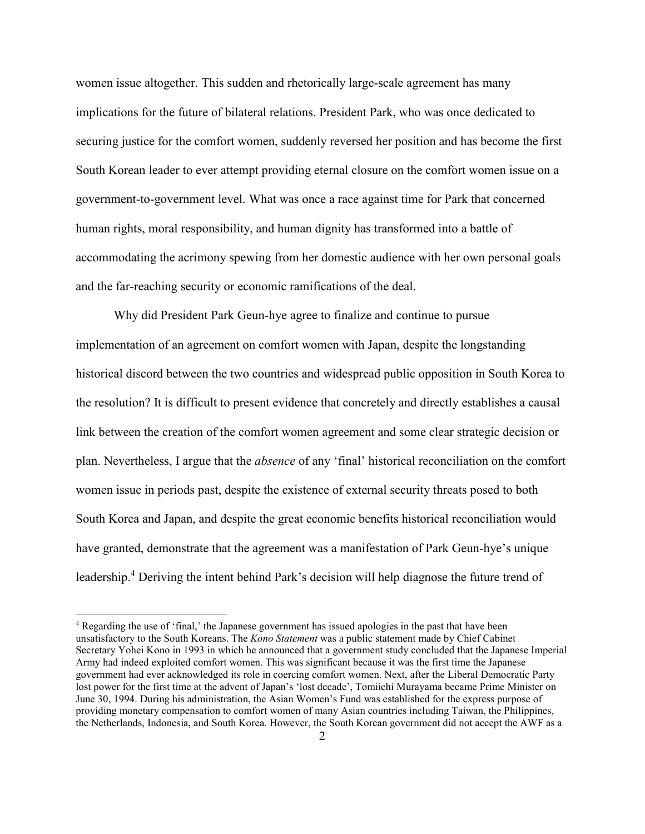women issue altogether. This sudden and rhetorically large-scale agreement has many implications for the future of bilateral relations. President Park, who was once dedicated to securing justice for the comfort women, suddenly reversed her position and has become the first South Korean leader to ever attempt providing eternal closure on the comfort women issue on a government-to-government level. What was once a race against time for Park that concerned human rights, moral responsibility, and human dignity has transformed into a battle of accommodating the acrimony spewing from her domestic audience with her own personal goals and the far-reaching security or economic ramifications of the deal.

 Why did President Park Geun-hye agree to finalize and continue to pursue implementation of an agreement on comfort women with Japan, despite the longstanding historical discord between the two countries and widespread public opposition in South Korea to the resolution? It is difficult to present evidence that concretely and directly establishes a causal link between the creation of the comfort women agreement and some clear strategic decision or plan. Nevertheless, I argue that the *absence* of any 'final' historical reconciliation on the comfort women issue in periods past, despite the existence of external security threats posed to both South Korea and Japan, and despite the great economic benefits historical reconciliation would have granted, demonstrate that the agreement was a manifestation of Park Geun-hye's unique leadership.<sup>4</sup> Deriving the intent behind Park's decision will help diagnose the future trend of

<sup>&</sup>lt;sup>4</sup> Regarding the use of 'final,' the Japanese government has issued apologies in the past that have been unsatisfactory to the South Koreans. The *Kono Statement* was a public statement made by Chief Cabinet Secretary Yohei Kono in 1993 in which he announced that a government study concluded that the Japanese Imperial Army had indeed exploited comfort women. This was significant because it was the first time the Japanese government had ever acknowledged its role in coercing comfort women. Next, after the Liberal Democratic Party lost power for the first time at the advent of Japan's 'lost decade', Tomiichi Murayama became Prime Minister on June 30, 1994. During his administration, the Asian Women's Fund was established for the express purpose of providing monetary compensation to comfort women of many Asian countries including Taiwan, the Philippines, the Netherlands, Indonesia, and South Korea. However, the South Korean government did not accept the AWF as a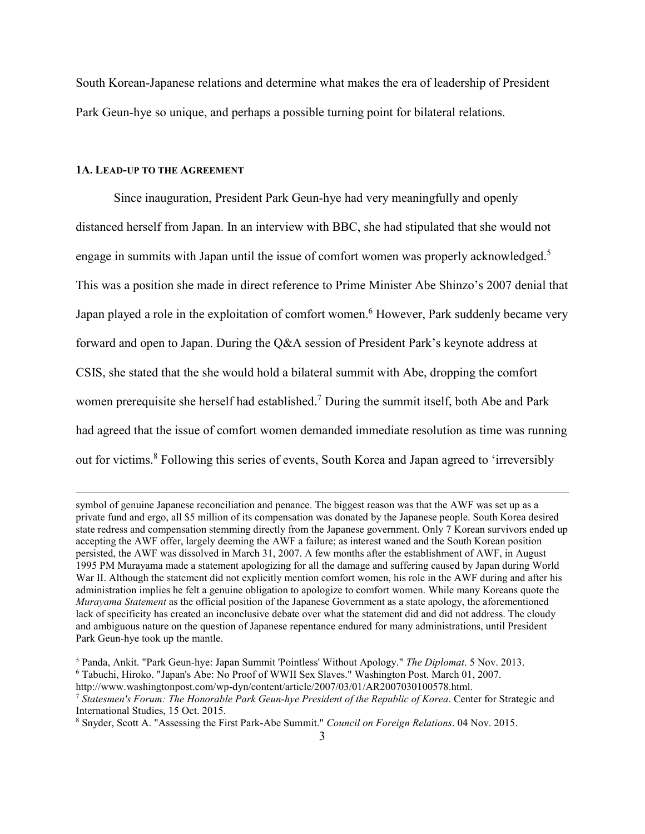South Korean-Japanese relations and determine what makes the era of leadership of President Park Geun-hye so unique, and perhaps a possible turning point for bilateral relations.

## **1A. LEAD-UP TO THE AGREEMENT**

-

 Since inauguration, President Park Geun-hye had very meaningfully and openly distanced herself from Japan. In an interview with BBC, she had stipulated that she would not engage in summits with Japan until the issue of comfort women was properly acknowledged.<sup>5</sup> This was a position she made in direct reference to Prime Minister Abe Shinzo's 2007 denial that Japan played a role in the exploitation of comfort women.<sup>6</sup> However, Park suddenly became very forward and open to Japan. During the Q&A session of President Park's keynote address at CSIS, she stated that the she would hold a bilateral summit with Abe, dropping the comfort women prerequisite she herself had established.<sup>7</sup> During the summit itself, both Abe and Park had agreed that the issue of comfort women demanded immediate resolution as time was running out for victims.<sup>8</sup> Following this series of events, South Korea and Japan agreed to 'irreversibly

symbol of genuine Japanese reconciliation and penance. The biggest reason was that the AWF was set up as a private fund and ergo, all \$5 million of its compensation was donated by the Japanese people. South Korea desired state redress and compensation stemming directly from the Japanese government. Only 7 Korean survivors ended up accepting the AWF offer, largely deeming the AWF a failure; as interest waned and the South Korean position persisted, the AWF was dissolved in March 31, 2007. A few months after the establishment of AWF, in August 1995 PM Murayama made a statement apologizing for all the damage and suffering caused by Japan during World War II. Although the statement did not explicitly mention comfort women, his role in the AWF during and after his administration implies he felt a genuine obligation to apologize to comfort women. While many Koreans quote the *Murayama Statement* as the official position of the Japanese Government as a state apology, the aforementioned lack of specificity has created an inconclusive debate over what the statement did and did not address. The cloudy and ambiguous nature on the question of Japanese repentance endured for many administrations, until President Park Geun-hye took up the mantle.

<sup>5</sup> Panda, Ankit. "Park Geun-hye: Japan Summit 'Pointless' Without Apology." *The Diplomat*. 5 Nov. 2013. 6 Tabuchi, Hiroko. "Japan's Abe: No Proof of WWII Sex Slaves." Washington Post. March 01, 2007.

http://www.washingtonpost.com/wp-dyn/content/article/2007/03/01/AR2007030100578.html.

<sup>7</sup> *Statesmen's Forum: The Honorable Park Geun-hye President of the Republic of Korea*. Center for Strategic and International Studies, 15 Oct. 2015.

<sup>8</sup> Snyder, Scott A. "Assessing the First Park-Abe Summit." *Council on Foreign Relations*. 04 Nov. 2015.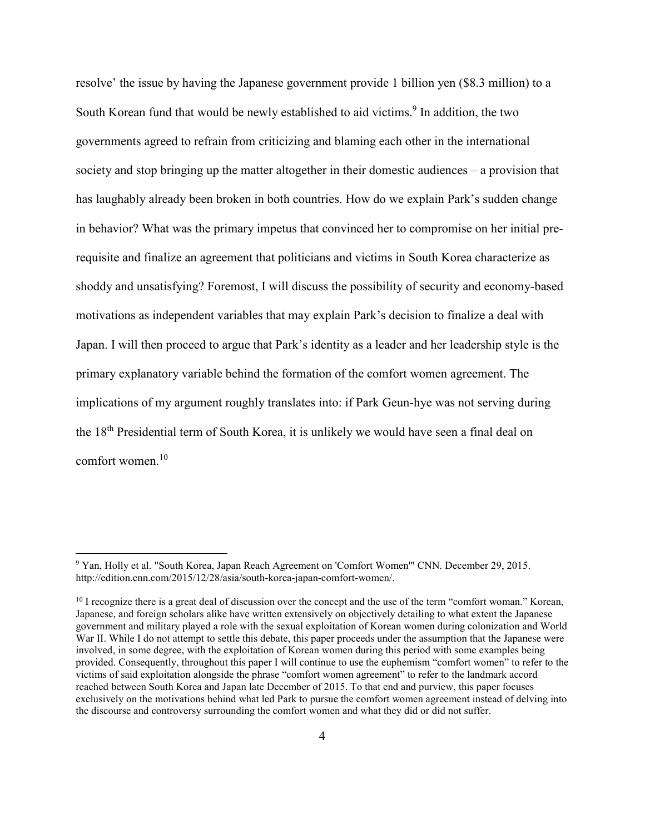resolve' the issue by having the Japanese government provide 1 billion yen (\$8.3 million) to a South Korean fund that would be newly established to aid victims.<sup>9</sup> In addition, the two governments agreed to refrain from criticizing and blaming each other in the international society and stop bringing up the matter altogether in their domestic audiences – a provision that has laughably already been broken in both countries. How do we explain Park's sudden change in behavior? What was the primary impetus that convinced her to compromise on her initial prerequisite and finalize an agreement that politicians and victims in South Korea characterize as shoddy and unsatisfying? Foremost, I will discuss the possibility of security and economy-based motivations as independent variables that may explain Park's decision to finalize a deal with Japan. I will then proceed to argue that Park's identity as a leader and her leadership style is the primary explanatory variable behind the formation of the comfort women agreement. The implications of my argument roughly translates into: if Park Geun-hye was not serving during the 18th Presidential term of South Korea, it is unlikely we would have seen a final deal on comfort women.<sup>10</sup>

 9 Yan, Holly et al. "South Korea, Japan Reach Agreement on 'Comfort Women'" CNN. December 29, 2015. http://edition.cnn.com/2015/12/28/asia/south-korea-japan-comfort-women/.

<sup>&</sup>lt;sup>10</sup> I recognize there is a great deal of discussion over the concept and the use of the term "comfort woman." Korean, Japanese, and foreign scholars alike have written extensively on objectively detailing to what extent the Japanese government and military played a role with the sexual exploitation of Korean women during colonization and World War II. While I do not attempt to settle this debate, this paper proceeds under the assumption that the Japanese were involved, in some degree, with the exploitation of Korean women during this period with some examples being provided. Consequently, throughout this paper I will continue to use the euphemism "comfort women" to refer to the victims of said exploitation alongside the phrase "comfort women agreement" to refer to the landmark accord reached between South Korea and Japan late December of 2015. To that end and purview, this paper focuses exclusively on the motivations behind what led Park to pursue the comfort women agreement instead of delving into the discourse and controversy surrounding the comfort women and what they did or did not suffer.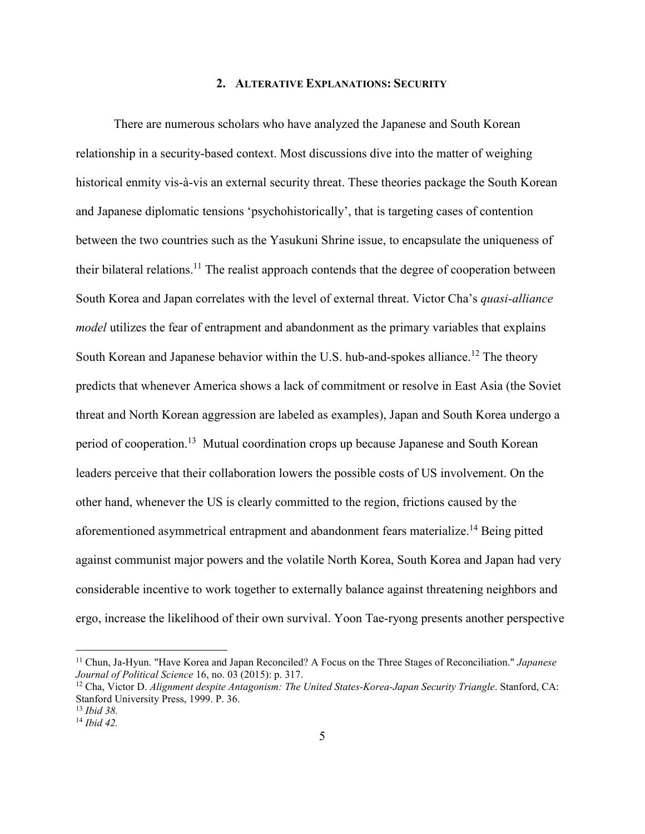### **2. ALTERATIVE EXPLANATIONS: SECURITY**

 There are numerous scholars who have analyzed the Japanese and South Korean relationship in a security-based context. Most discussions dive into the matter of weighing historical enmity vis-à-vis an external security threat. These theories package the South Korean and Japanese diplomatic tensions 'psychohistorically', that is targeting cases of contention between the two countries such as the Yasukuni Shrine issue, to encapsulate the uniqueness of their bilateral relations.<sup>11</sup> The realist approach contends that the degree of cooperation between South Korea and Japan correlates with the level of external threat. Victor Cha's *quasi-alliance model* utilizes the fear of entrapment and abandonment as the primary variables that explains South Korean and Japanese behavior within the U.S. hub-and-spokes alliance.<sup>12</sup> The theory predicts that whenever America shows a lack of commitment or resolve in East Asia (the Soviet threat and North Korean aggression are labeled as examples), Japan and South Korea undergo a period of cooperation.<sup>13</sup> Mutual coordination crops up because Japanese and South Korean leaders perceive that their collaboration lowers the possible costs of US involvement. On the other hand, whenever the US is clearly committed to the region, frictions caused by the aforementioned asymmetrical entrapment and abandonment fears materialize.<sup>14</sup> Being pitted against communist major powers and the volatile North Korea, South Korea and Japan had very considerable incentive to work together to externally balance against threatening neighbors and ergo, increase the likelihood of their own survival. Yoon Tae-ryong presents another perspective

<u>.</u>

<sup>11</sup> Chun, Ja-Hyun. "Have Korea and Japan Reconciled? A Focus on the Three Stages of Reconciliation." *Japanese Journal of Political Science* 16, no. 03 (2015): p. 317.

<sup>&</sup>lt;sup>12</sup> Cha, Victor D. Alignment despite Antagonism: The United States-Korea-Japan Security Triangle. Stanford, CA: Stanford University Press, 1999. P. 36.

<sup>13</sup> *Ibid 38.* 

<sup>14</sup> *Ibid 42.*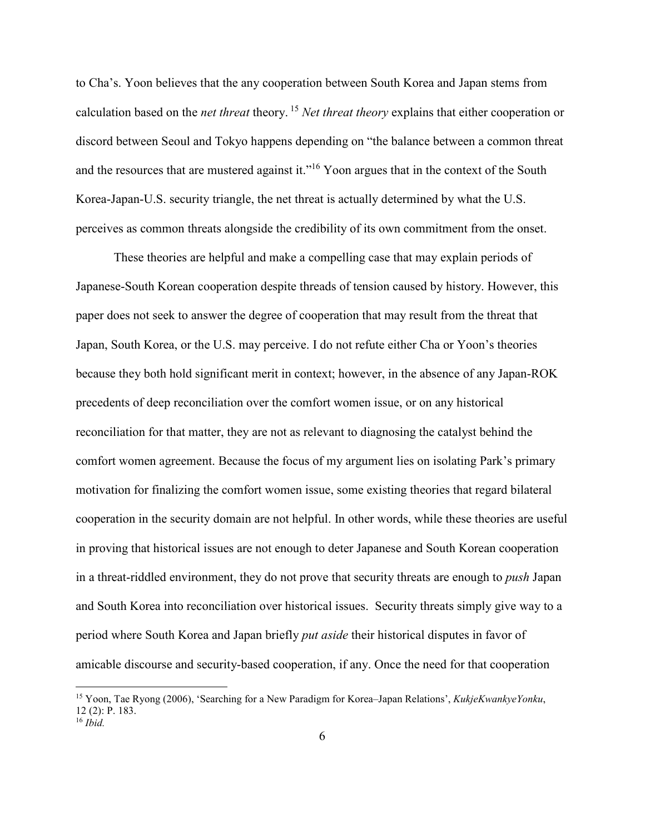to Cha's. Yoon believes that the any cooperation between South Korea and Japan stems from calculation based on the *net threat* theory.<sup>15</sup> *Net threat theory* explains that either cooperation or discord between Seoul and Tokyo happens depending on "the balance between a common threat and the resources that are mustered against it."<sup>16</sup> Yoon argues that in the context of the South Korea-Japan-U.S. security triangle, the net threat is actually determined by what the U.S. perceives as common threats alongside the credibility of its own commitment from the onset.

 These theories are helpful and make a compelling case that may explain periods of Japanese-South Korean cooperation despite threads of tension caused by history. However, this paper does not seek to answer the degree of cooperation that may result from the threat that Japan, South Korea, or the U.S. may perceive. I do not refute either Cha or Yoon's theories because they both hold significant merit in context; however, in the absence of any Japan-ROK precedents of deep reconciliation over the comfort women issue, or on any historical reconciliation for that matter, they are not as relevant to diagnosing the catalyst behind the comfort women agreement. Because the focus of my argument lies on isolating Park's primary motivation for finalizing the comfort women issue, some existing theories that regard bilateral cooperation in the security domain are not helpful. In other words, while these theories are useful in proving that historical issues are not enough to deter Japanese and South Korean cooperation in a threat-riddled environment, they do not prove that security threats are enough to *push* Japan and South Korea into reconciliation over historical issues. Security threats simply give way to a period where South Korea and Japan briefly *put aside* their historical disputes in favor of amicable discourse and security-based cooperation, if any. Once the need for that cooperation

<sup>15</sup> Yoon, Tae Ryong (2006), 'Searching for a New Paradigm for Korea–Japan Relations', *KukjeKwankyeYonku*, 12 (2): P. 183.  $16$  *Ibid.*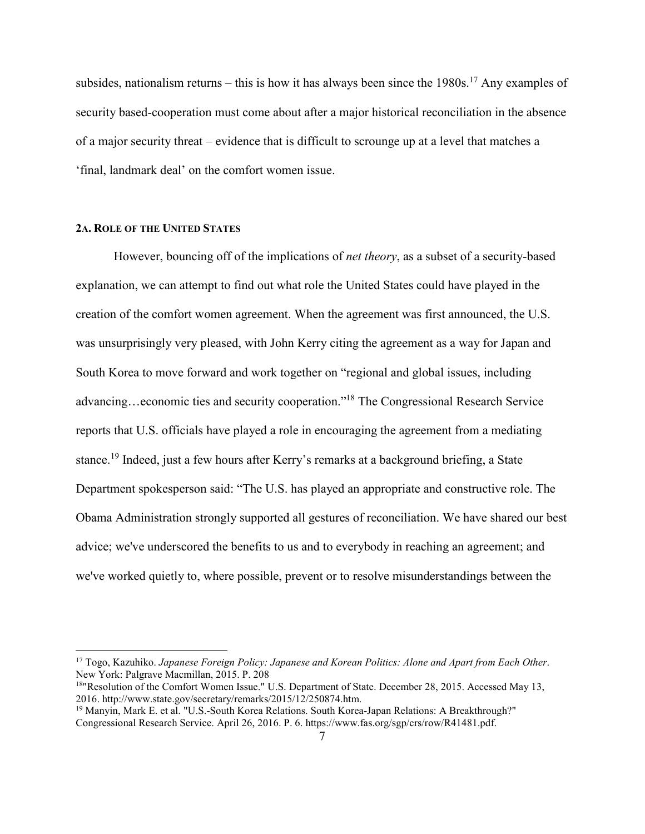subsides, nationalism returns – this is how it has always been since the  $1980s$ .<sup>17</sup> Any examples of security based-cooperation must come about after a major historical reconciliation in the absence of a major security threat – evidence that is difficult to scrounge up at a level that matches a 'final, landmark deal' on the comfort women issue.

#### **2A. ROLE OF THE UNITED STATES**

<u>.</u>

 However, bouncing off of the implications of *net theory*, as a subset of a security-based explanation, we can attempt to find out what role the United States could have played in the creation of the comfort women agreement. When the agreement was first announced, the U.S. was unsurprisingly very pleased, with John Kerry citing the agreement as a way for Japan and South Korea to move forward and work together on "regional and global issues, including advancing…economic ties and security cooperation."<sup>18</sup> The Congressional Research Service reports that U.S. officials have played a role in encouraging the agreement from a mediating stance.<sup>19</sup> Indeed, just a few hours after Kerry's remarks at a background briefing, a State Department spokesperson said: "The U.S. has played an appropriate and constructive role. The Obama Administration strongly supported all gestures of reconciliation. We have shared our best advice; we've underscored the benefits to us and to everybody in reaching an agreement; and we've worked quietly to, where possible, prevent or to resolve misunderstandings between the

<sup>17</sup> Togo, Kazuhiko. *Japanese Foreign Policy: Japanese and Korean Politics: Alone and Apart from Each Other*. New York: Palgrave Macmillan, 2015. P. 208

<sup>&</sup>lt;sup>18</sup>"Resolution of the Comfort Women Issue." U.S. Department of State. December 28, 2015. Accessed May 13, 2016. http://www.state.gov/secretary/remarks/2015/12/250874.htm.

<sup>19</sup> Manyin, Mark E. et al. "U.S.-South Korea Relations. South Korea-Japan Relations: A Breakthrough?" Congressional Research Service. April 26, 2016. P. 6. https://www.fas.org/sgp/crs/row/R41481.pdf.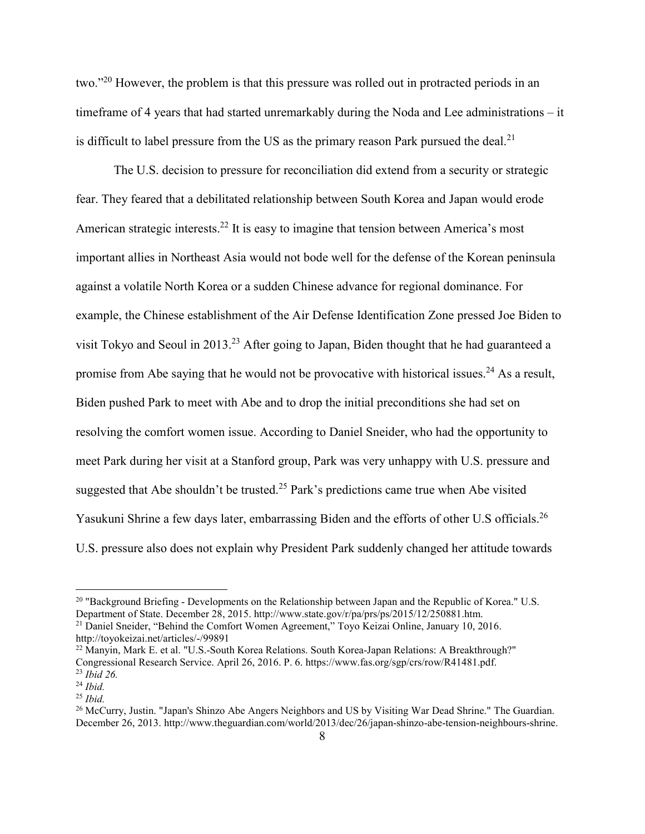two."<sup>20</sup> However, the problem is that this pressure was rolled out in protracted periods in an timeframe of 4 years that had started unremarkably during the Noda and Lee administrations – it is difficult to label pressure from the US as the primary reason Park pursued the deal.<sup>21</sup>

 The U.S. decision to pressure for reconciliation did extend from a security or strategic fear. They feared that a debilitated relationship between South Korea and Japan would erode American strategic interests.<sup>22</sup> It is easy to imagine that tension between America's most important allies in Northeast Asia would not bode well for the defense of the Korean peninsula against a volatile North Korea or a sudden Chinese advance for regional dominance. For example, the Chinese establishment of the Air Defense Identification Zone pressed Joe Biden to visit Tokyo and Seoul in 2013.<sup>23</sup> After going to Japan, Biden thought that he had guaranteed a promise from Abe saying that he would not be provocative with historical issues.<sup>24</sup> As a result, Biden pushed Park to meet with Abe and to drop the initial preconditions she had set on resolving the comfort women issue. According to Daniel Sneider, who had the opportunity to meet Park during her visit at a Stanford group, Park was very unhappy with U.S. pressure and suggested that Abe shouldn't be trusted.<sup>25</sup> Park's predictions came true when Abe visited Yasukuni Shrine a few days later, embarrassing Biden and the efforts of other U.S officials.<sup>26</sup> U.S. pressure also does not explain why President Park suddenly changed her attitude towards

<sup>&</sup>lt;sup>20</sup> "Background Briefing - Developments on the Relationship between Japan and the Republic of Korea." U.S. Department of State. December 28, 2015. http://www.state.gov/r/pa/prs/ps/2015/12/250881.htm.

<sup>&</sup>lt;sup>21</sup> Daniel Sneider, "Behind the Comfort Women Agreement," Toyo Keizai Online, January 10, 2016. http://toyokeizai.net/articles/-/99891

<sup>&</sup>lt;sup>22</sup> Manyin, Mark E. et al. "U.S.-South Korea Relations. South Korea-Japan Relations: A Breakthrough?" Congressional Research Service. April 26, 2016. P. 6. https://www.fas.org/sgp/crs/row/R41481.pdf. <sup>23</sup> *Ibid 26.* 

<sup>24</sup> *Ibid.* 

<sup>25</sup> *Ibid.* 

<sup>&</sup>lt;sup>26</sup> McCurry, Justin. "Japan's Shinzo Abe Angers Neighbors and US by Visiting War Dead Shrine." The Guardian. December 26, 2013. http://www.theguardian.com/world/2013/dec/26/japan-shinzo-abe-tension-neighbours-shrine.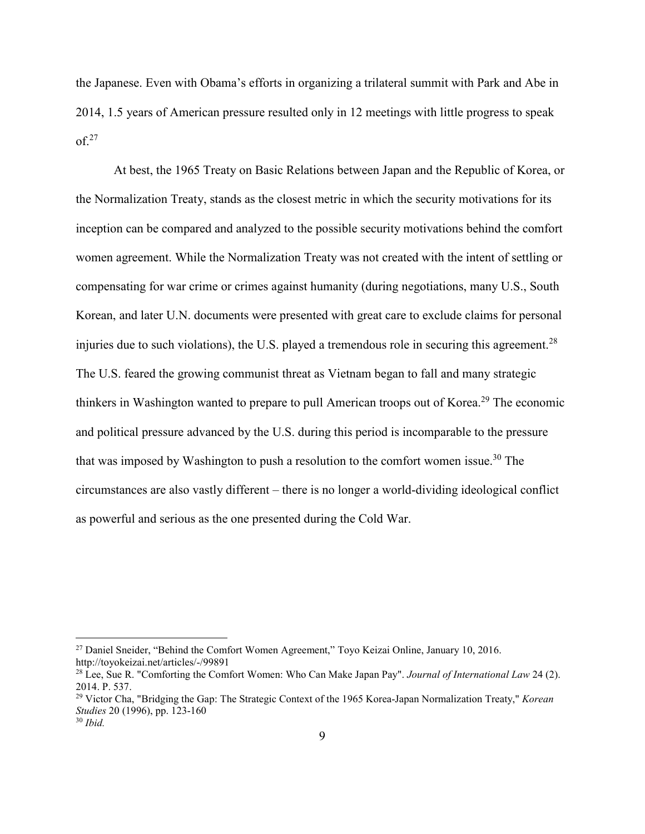the Japanese. Even with Obama's efforts in organizing a trilateral summit with Park and Abe in 2014, 1.5 years of American pressure resulted only in 12 meetings with little progress to speak  $of.<sup>27</sup>$ 

 At best, the 1965 Treaty on Basic Relations between Japan and the Republic of Korea, or the Normalization Treaty, stands as the closest metric in which the security motivations for its inception can be compared and analyzed to the possible security motivations behind the comfort women agreement. While the Normalization Treaty was not created with the intent of settling or compensating for war crime or crimes against humanity (during negotiations, many U.S., South Korean, and later U.N. documents were presented with great care to exclude claims for personal injuries due to such violations), the U.S. played a tremendous role in securing this agreement.<sup>28</sup> The U.S. feared the growing communist threat as Vietnam began to fall and many strategic thinkers in Washington wanted to prepare to pull American troops out of Korea.<sup>29</sup> The economic and political pressure advanced by the U.S. during this period is incomparable to the pressure that was imposed by Washington to push a resolution to the comfort women issue.<sup>30</sup> The circumstances are also vastly different – there is no longer a world-dividing ideological conflict as powerful and serious as the one presented during the Cold War.

<sup>&</sup>lt;sup>27</sup> Daniel Sneider, "Behind the Comfort Women Agreement," Toyo Keizai Online, January 10, 2016. http://toyokeizai.net/articles/-/99891

<sup>28</sup> Lee, Sue R. "Comforting the Comfort Women: Who Can Make Japan Pay". *Journal of International Law* 24 (2). 2014. P. 537.

<sup>29</sup> Victor Cha, "Bridging the Gap: The Strategic Context of the 1965 Korea-Japan Normalization Treaty," *Korean Studies* 20 (1996), pp. 123-160

<sup>30</sup> *Ibid.*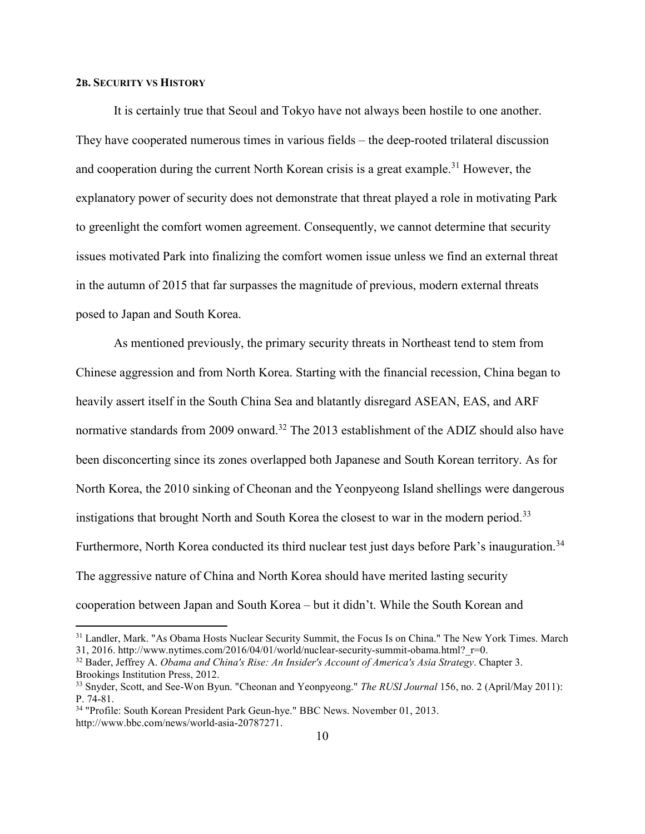### **2B. SECURITY VS HISTORY**

 $\overline{a}$ 

 It is certainly true that Seoul and Tokyo have not always been hostile to one another. They have cooperated numerous times in various fields – the deep-rooted trilateral discussion and cooperation during the current North Korean crisis is a great example.<sup>31</sup> However, the explanatory power of security does not demonstrate that threat played a role in motivating Park to greenlight the comfort women agreement. Consequently, we cannot determine that security issues motivated Park into finalizing the comfort women issue unless we find an external threat in the autumn of 2015 that far surpasses the magnitude of previous, modern external threats posed to Japan and South Korea.

 As mentioned previously, the primary security threats in Northeast tend to stem from Chinese aggression and from North Korea. Starting with the financial recession, China began to heavily assert itself in the South China Sea and blatantly disregard ASEAN, EAS, and ARF normative standards from 2009 onward.<sup>32</sup> The 2013 establishment of the ADIZ should also have been disconcerting since its zones overlapped both Japanese and South Korean territory. As for North Korea, the 2010 sinking of Cheonan and the Yeonpyeong Island shellings were dangerous instigations that brought North and South Korea the closest to war in the modern period.<sup>33</sup> Furthermore, North Korea conducted its third nuclear test just days before Park's inauguration.<sup>34</sup> The aggressive nature of China and North Korea should have merited lasting security cooperation between Japan and South Korea – but it didn't. While the South Korean and

<sup>&</sup>lt;sup>31</sup> Landler, Mark. "As Obama Hosts Nuclear Security Summit, the Focus Is on China." The New York Times. March 31, 2016. http://www.nytimes.com/2016/04/01/world/nuclear-security-summit-obama.html? $r=0$ .

<sup>32</sup> Bader, Jeffrey A. *Obama and China's Rise: An Insider's Account of America's Asia Strategy*. Chapter 3. Brookings Institution Press, 2012.

<sup>33</sup> Snyder, Scott, and See-Won Byun. "Cheonan and Yeonpyeong." *The RUSI Journal* 156, no. 2 (April/May 2011): P. 74-81.

<sup>34</sup> "Profile: South Korean President Park Geun-hye." BBC News. November 01, 2013. http://www.bbc.com/news/world-asia-20787271.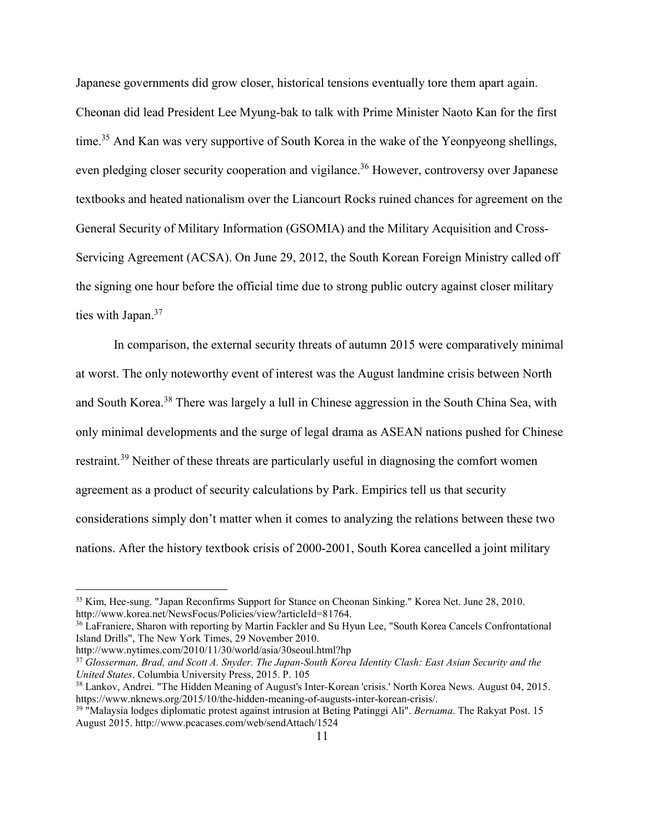Japanese governments did grow closer, historical tensions eventually tore them apart again. Cheonan did lead President Lee Myung-bak to talk with Prime Minister Naoto Kan for the first time.<sup>35</sup> And Kan was very supportive of South Korea in the wake of the Yeonpyeong shellings, even pledging closer security cooperation and vigilance.<sup>36</sup> However, controversy over Japanese textbooks and heated nationalism over the Liancourt Rocks ruined chances for agreement on the General Security of Military Information (GSOMIA) and the Military Acquisition and Cross-Servicing Agreement (ACSA). On June 29, 2012, the South Korean Foreign Ministry called off the signing one hour before the official time due to strong public outcry against closer military ties with Japan.<sup>37</sup>

 In comparison, the external security threats of autumn 2015 were comparatively minimal at worst. The only noteworthy event of interest was the August landmine crisis between North and South Korea.<sup>38</sup> There was largely a lull in Chinese aggression in the South China Sea, with only minimal developments and the surge of legal drama as ASEAN nations pushed for Chinese restraint.<sup>39</sup> Neither of these threats are particularly useful in diagnosing the comfort women agreement as a product of security calculations by Park. Empirics tell us that security considerations simply don't matter when it comes to analyzing the relations between these two nations. After the history textbook crisis of 2000-2001, South Korea cancelled a joint military

<sup>35</sup> Kim, Hee-sung. "Japan Reconfirms Support for Stance on Cheonan Sinking." Korea Net. June 28, 2010. http://www.korea.net/NewsFocus/Policies/view?articleId=81764.

<sup>&</sup>lt;sup>36</sup> LaFraniere. Sharon with reporting by Martin Fackler and Su Hyun Lee, "South Korea Cancels Confrontational Island Drills", The New York Times, 29 November 2010.

http://www.nytimes.com/2010/11/30/world/asia/30seoul.html?hp

<sup>37</sup> *Glosserman, Brad, and Scott A. Snyder. The Japan-South Korea Identity Clash: East Asian Security and the United States*. Columbia University Press, 2015. P. 105

<sup>38</sup> Lankov, Andrei. "The Hidden Meaning of August's Inter-Korean 'crisis.' North Korea News. August 04, 2015. https://www.nknews.org/2015/10/the-hidden-meaning-of-augusts-inter-korean-crisis/.

<sup>39</sup> "Malaysia lodges diplomatic protest against intrusion at Beting Patinggi Ali". *Bernama*. The Rakyat Post. 15 August 2015. http://www.pcacases.com/web/sendAttach/1524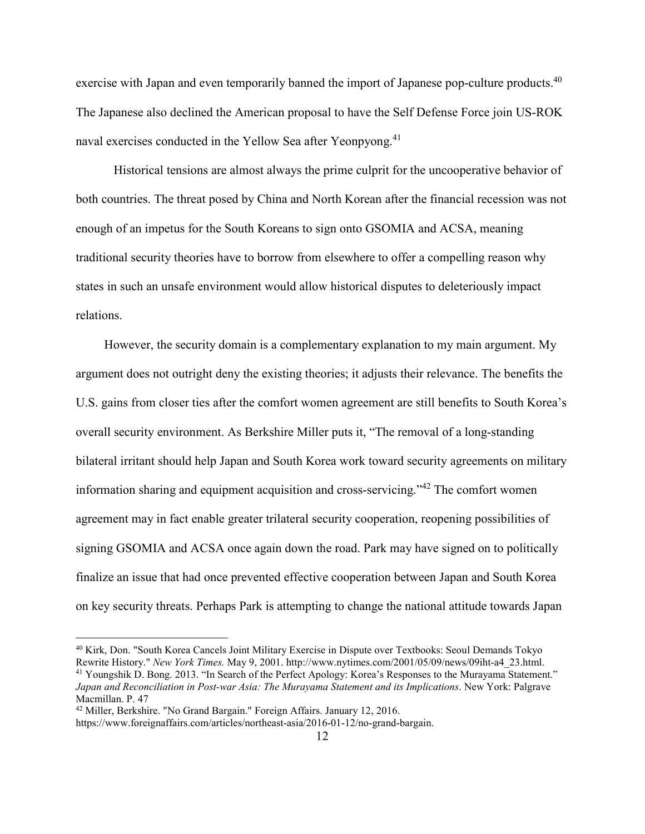exercise with Japan and even temporarily banned the import of Japanese pop-culture products.<sup>40</sup> The Japanese also declined the American proposal to have the Self Defense Force join US-ROK naval exercises conducted in the Yellow Sea after Yeonpyong.<sup>41</sup>

 Historical tensions are almost always the prime culprit for the uncooperative behavior of both countries. The threat posed by China and North Korean after the financial recession was not enough of an impetus for the South Koreans to sign onto GSOMIA and ACSA, meaning traditional security theories have to borrow from elsewhere to offer a compelling reason why states in such an unsafe environment would allow historical disputes to deleteriously impact relations.

 However, the security domain is a complementary explanation to my main argument. My argument does not outright deny the existing theories; it adjusts their relevance. The benefits the U.S. gains from closer ties after the comfort women agreement are still benefits to South Korea's overall security environment. As Berkshire Miller puts it, "The removal of a long-standing bilateral irritant should help Japan and South Korea work toward security agreements on military information sharing and equipment acquisition and cross-servicing."<sup>42</sup> The comfort women agreement may in fact enable greater trilateral security cooperation, reopening possibilities of signing GSOMIA and ACSA once again down the road. Park may have signed on to politically finalize an issue that had once prevented effective cooperation between Japan and South Korea on key security threats. Perhaps Park is attempting to change the national attitude towards Japan

<sup>40</sup> Kirk, Don. "South Korea Cancels Joint Military Exercise in Dispute over Textbooks: Seoul Demands Tokyo Rewrite History." *New York Times.* May 9, 2001. http://www.nytimes.com/2001/05/09/news/09iht-a4\_23.html. <sup>41</sup> Youngshik D. Bong. 2013. "In Search of the Perfect Apology: Korea's Responses to the Murayama Statement." *Japan and Reconciliation in Post-war Asia: The Murayama Statement and its Implications*. New York: Palgrave Macmillan. P. 47

<sup>42</sup> Miller, Berkshire. "No Grand Bargain." Foreign Affairs. January 12, 2016.

https://www.foreignaffairs.com/articles/northeast-asia/2016-01-12/no-grand-bargain.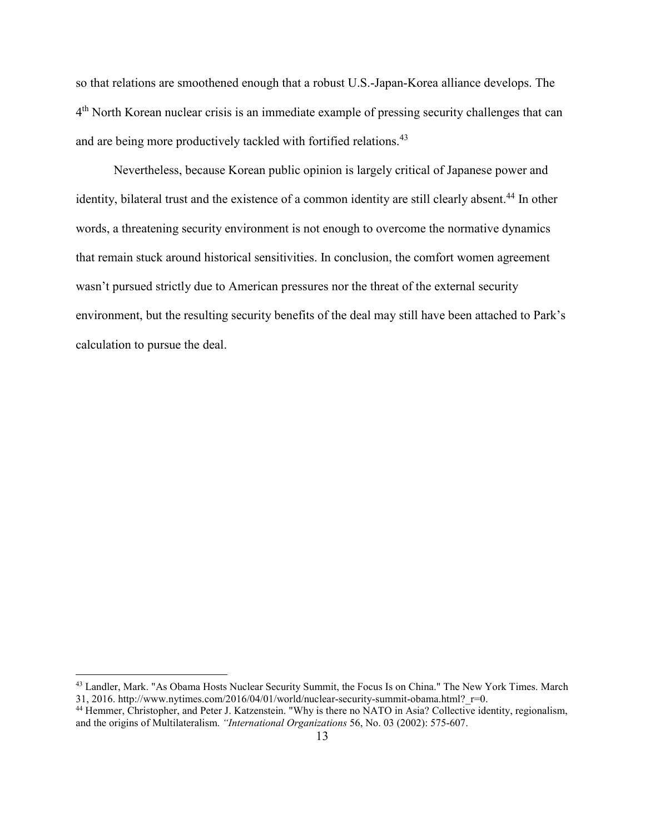so that relations are smoothened enough that a robust U.S.-Japan-Korea alliance develops. The 4<sup>th</sup> North Korean nuclear crisis is an immediate example of pressing security challenges that can and are being more productively tackled with fortified relations.<sup>43</sup>

 Nevertheless, because Korean public opinion is largely critical of Japanese power and identity, bilateral trust and the existence of a common identity are still clearly absent.<sup>44</sup> In other words, a threatening security environment is not enough to overcome the normative dynamics that remain stuck around historical sensitivities. In conclusion, the comfort women agreement wasn't pursued strictly due to American pressures nor the threat of the external security environment, but the resulting security benefits of the deal may still have been attached to Park's calculation to pursue the deal.

<sup>43</sup> Landler, Mark. "As Obama Hosts Nuclear Security Summit, the Focus Is on China." The New York Times. March 31, 2016. http://www.nytimes.com/2016/04/01/world/nuclear-security-summit-obama.html? $r=0$ .

<sup>&</sup>lt;sup>44</sup> Hemmer, Christopher, and Peter J. Katzenstein. "Why is there no NATO in Asia? Collective identity, regionalism, and the origins of Multilateralism. *"International Organizations* 56, No. 03 (2002): 575-607.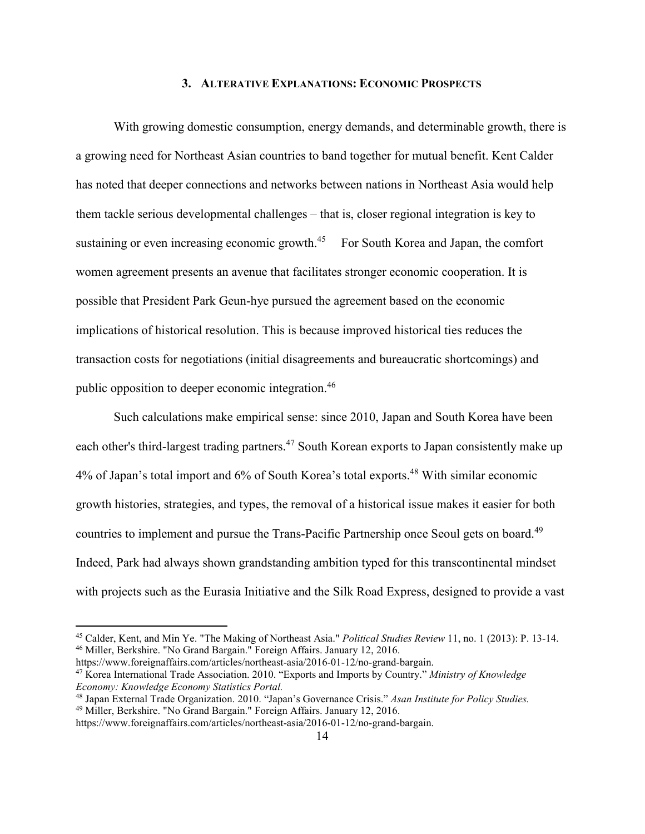#### **3. ALTERATIVE EXPLANATIONS: ECONOMIC PROSPECTS**

 With growing domestic consumption, energy demands, and determinable growth, there is a growing need for Northeast Asian countries to band together for mutual benefit. Kent Calder has noted that deeper connections and networks between nations in Northeast Asia would help them tackle serious developmental challenges – that is, closer regional integration is key to sustaining or even increasing economic growth.<sup>45</sup> For South Korea and Japan, the comfort women agreement presents an avenue that facilitates stronger economic cooperation. It is possible that President Park Geun-hye pursued the agreement based on the economic implications of historical resolution. This is because improved historical ties reduces the transaction costs for negotiations (initial disagreements and bureaucratic shortcomings) and public opposition to deeper economic integration.<sup>46</sup>

 Such calculations make empirical sense: since 2010, Japan and South Korea have been each other's third-largest trading partners.<sup>47</sup> South Korean exports to Japan consistently make up 4% of Japan's total import and 6% of South Korea's total exports.<sup>48</sup> With similar economic growth histories, strategies, and types, the removal of a historical issue makes it easier for both countries to implement and pursue the Trans-Pacific Partnership once Seoul gets on board.<sup>49</sup> Indeed, Park had always shown grandstanding ambition typed for this transcontinental mindset with projects such as the Eurasia Initiative and the Silk Road Express, designed to provide a vast

<sup>45</sup> Calder, Kent, and Min Ye. "The Making of Northeast Asia." *Political Studies Review* 11, no. 1 (2013): P. 13-14. <sup>46</sup> Miller, Berkshire. "No Grand Bargain." Foreign Affairs. January 12, 2016.

https://www.foreignaffairs.com/articles/northeast-asia/2016-01-12/no-grand-bargain. <sup>47</sup> Korea International Trade Association. 2010. "Exports and Imports by Country." *Ministry of Knowledge Economy: Knowledge Economy Statistics Portal.* 

<sup>48</sup> Japan External Trade Organization. 2010. "Japan's Governance Crisis." *Asan Institute for Policy Studies.*  <sup>49</sup> Miller, Berkshire. "No Grand Bargain." Foreign Affairs. January 12, 2016.

https://www.foreignaffairs.com/articles/northeast-asia/2016-01-12/no-grand-bargain.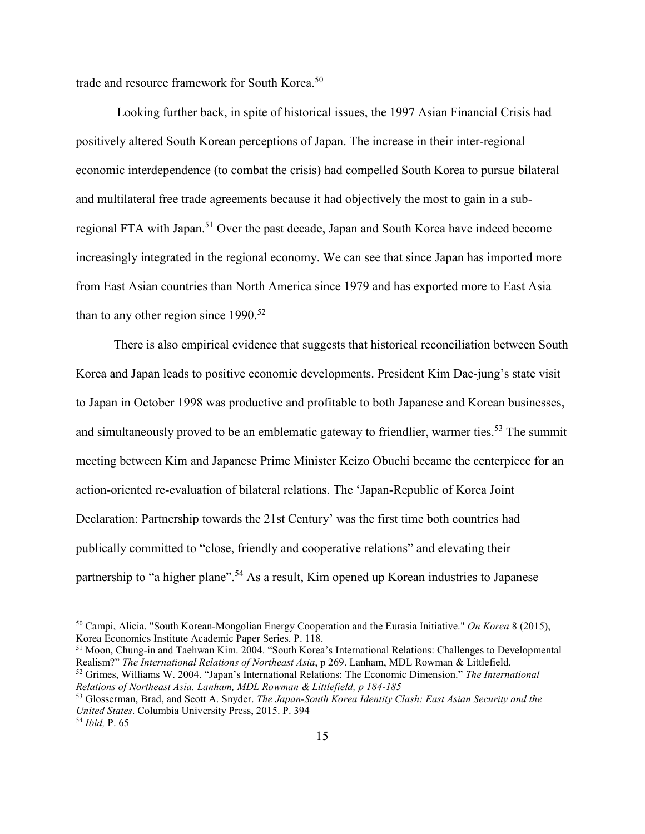trade and resource framework for South Korea.<sup>50</sup>

 Looking further back, in spite of historical issues, the 1997 Asian Financial Crisis had positively altered South Korean perceptions of Japan. The increase in their inter-regional economic interdependence (to combat the crisis) had compelled South Korea to pursue bilateral and multilateral free trade agreements because it had objectively the most to gain in a subregional FTA with Japan.<sup>51</sup> Over the past decade, Japan and South Korea have indeed become increasingly integrated in the regional economy. We can see that since Japan has imported more from East Asian countries than North America since 1979 and has exported more to East Asia than to any other region since  $1990^{52}$ 

 There is also empirical evidence that suggests that historical reconciliation between South Korea and Japan leads to positive economic developments. President Kim Dae-jung's state visit to Japan in October 1998 was productive and profitable to both Japanese and Korean businesses, and simultaneously proved to be an emblematic gateway to friendlier, warmer ties.<sup>53</sup> The summit meeting between Kim and Japanese Prime Minister Keizo Obuchi became the centerpiece for an action-oriented re-evaluation of bilateral relations. The 'Japan-Republic of Korea Joint Declaration: Partnership towards the 21st Century' was the first time both countries had publically committed to "close, friendly and cooperative relations" and elevating their partnership to "a higher plane".<sup>54</sup> As a result, Kim opened up Korean industries to Japanese

<sup>51</sup> Moon, Chung-in and Taehwan Kim. 2004. "South Korea's International Relations: Challenges to Developmental Realism?" *The International Relations of Northeast Asia*, p 269. Lanham, MDL Rowman & Littlefield. <sup>52</sup> Grimes, Williams W. 2004. "Japan's International Relations: The Economic Dimension." *The International* 

<u>.</u>

<sup>50</sup> Campi, Alicia. "South Korean-Mongolian Energy Cooperation and the Eurasia Initiative." *On Korea* 8 (2015), Korea Economics Institute Academic Paper Series. P. 118.

*Relations of Northeast Asia. Lanham, MDL Rowman & Littlefield, p 184-185*

<sup>53</sup> Glosserman, Brad, and Scott A. Snyder. *The Japan-South Korea Identity Clash: East Asian Security and the United States*. Columbia University Press, 2015. P. 394

<sup>54</sup> *Ibid,* P. 65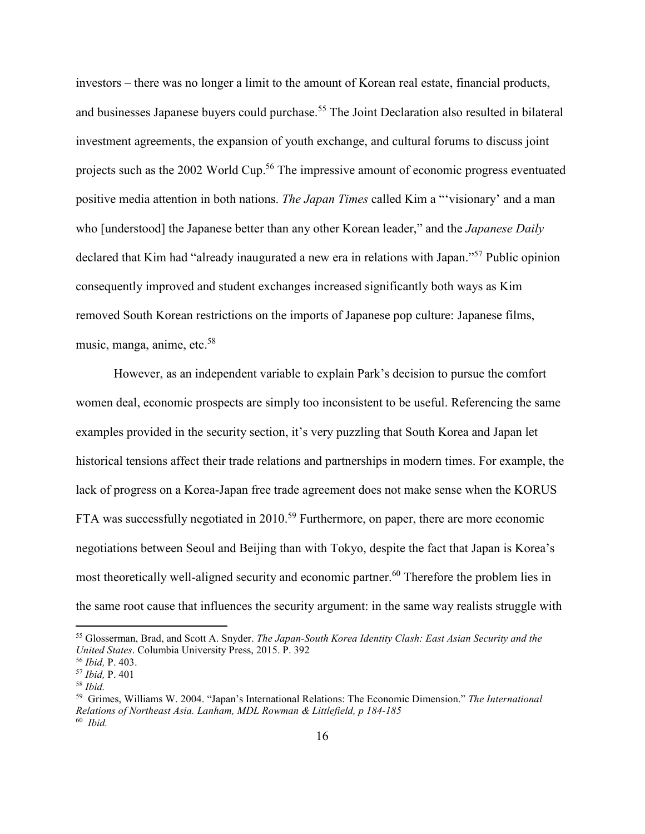investors – there was no longer a limit to the amount of Korean real estate, financial products, and businesses Japanese buyers could purchase.<sup>55</sup> The Joint Declaration also resulted in bilateral investment agreements, the expansion of youth exchange, and cultural forums to discuss joint projects such as the 2002 World Cup.<sup>56</sup> The impressive amount of economic progress eventuated positive media attention in both nations. *The Japan Times* called Kim a "'visionary' and a man who [understood] the Japanese better than any other Korean leader," and the *Japanese Daily*  declared that Kim had "already inaugurated a new era in relations with Japan."<sup>57</sup> Public opinion consequently improved and student exchanges increased significantly both ways as Kim removed South Korean restrictions on the imports of Japanese pop culture: Japanese films, music, manga, anime, etc.<sup>58</sup>

 However, as an independent variable to explain Park's decision to pursue the comfort women deal, economic prospects are simply too inconsistent to be useful. Referencing the same examples provided in the security section, it's very puzzling that South Korea and Japan let historical tensions affect their trade relations and partnerships in modern times. For example, the lack of progress on a Korea-Japan free trade agreement does not make sense when the KORUS FTA was successfully negotiated in 2010.<sup>59</sup> Furthermore, on paper, there are more economic negotiations between Seoul and Beijing than with Tokyo, despite the fact that Japan is Korea's most theoretically well-aligned security and economic partner.<sup>60</sup> Therefore the problem lies in the same root cause that influences the security argument: in the same way realists struggle with

<sup>55</sup> Glosserman, Brad, and Scott A. Snyder. *The Japan-South Korea Identity Clash: East Asian Security and the United States*. Columbia University Press, 2015. P. 392

<sup>56</sup> *Ibid,* P. 403.

<sup>57</sup> *Ibid,* P. 401

<sup>58</sup> *Ibid.* 

<sup>59</sup> Grimes, Williams W. 2004. "Japan's International Relations: The Economic Dimension." *The International Relations of Northeast Asia. Lanham, MDL Rowman & Littlefield, p 184-185*

<sup>60</sup> *Ibid.*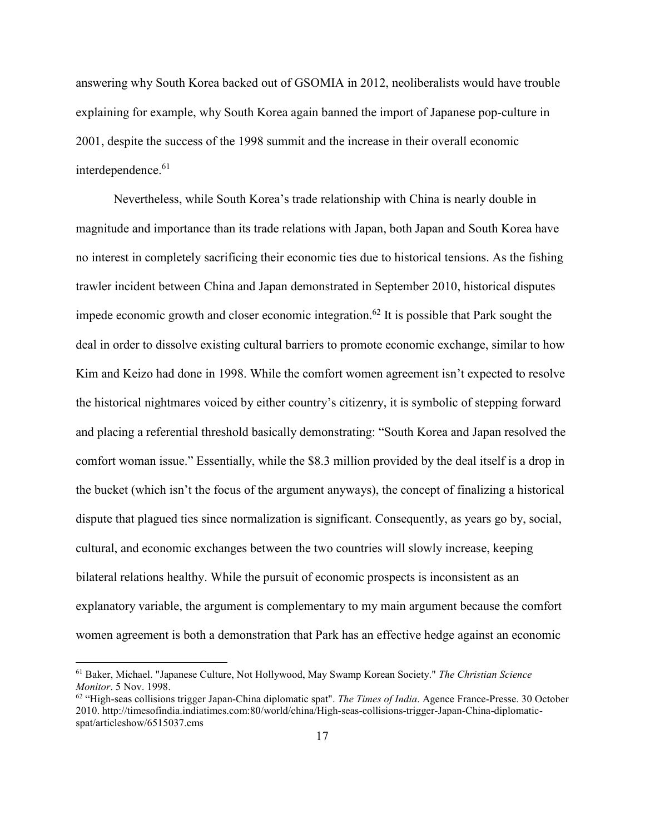answering why South Korea backed out of GSOMIA in 2012, neoliberalists would have trouble explaining for example, why South Korea again banned the import of Japanese pop-culture in 2001, despite the success of the 1998 summit and the increase in their overall economic interdependence.<sup>61</sup>

 Nevertheless, while South Korea's trade relationship with China is nearly double in magnitude and importance than its trade relations with Japan, both Japan and South Korea have no interest in completely sacrificing their economic ties due to historical tensions. As the fishing trawler incident between China and Japan demonstrated in September 2010, historical disputes impede economic growth and closer economic integration.<sup>62</sup> It is possible that Park sought the deal in order to dissolve existing cultural barriers to promote economic exchange, similar to how Kim and Keizo had done in 1998. While the comfort women agreement isn't expected to resolve the historical nightmares voiced by either country's citizenry, it is symbolic of stepping forward and placing a referential threshold basically demonstrating: "South Korea and Japan resolved the comfort woman issue." Essentially, while the \$8.3 million provided by the deal itself is a drop in the bucket (which isn't the focus of the argument anyways), the concept of finalizing a historical dispute that plagued ties since normalization is significant. Consequently, as years go by, social, cultural, and economic exchanges between the two countries will slowly increase, keeping bilateral relations healthy. While the pursuit of economic prospects is inconsistent as an explanatory variable, the argument is complementary to my main argument because the comfort women agreement is both a demonstration that Park has an effective hedge against an economic

<sup>61</sup> Baker, Michael. "Japanese Culture, Not Hollywood, May Swamp Korean Society." *The Christian Science Monitor*. 5 Nov. 1998.

<sup>62</sup> "High-seas collisions trigger Japan-China diplomatic spat". *The Times of India*. Agence France-Presse. 30 October 2010. http://timesofindia.indiatimes.com:80/world/china/High-seas-collisions-trigger-Japan-China-diplomaticspat/articleshow/6515037.cms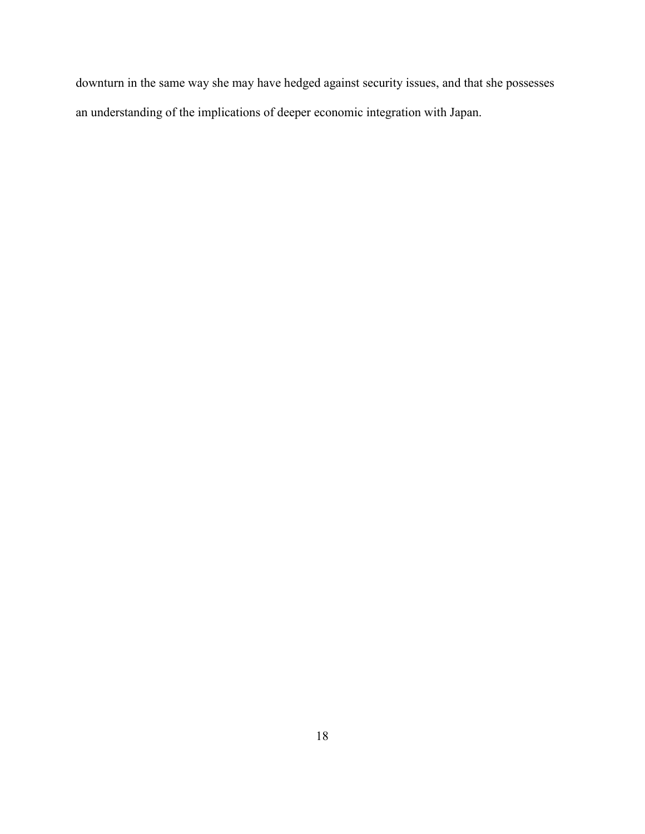downturn in the same way she may have hedged against security issues, and that she possesses an understanding of the implications of deeper economic integration with Japan.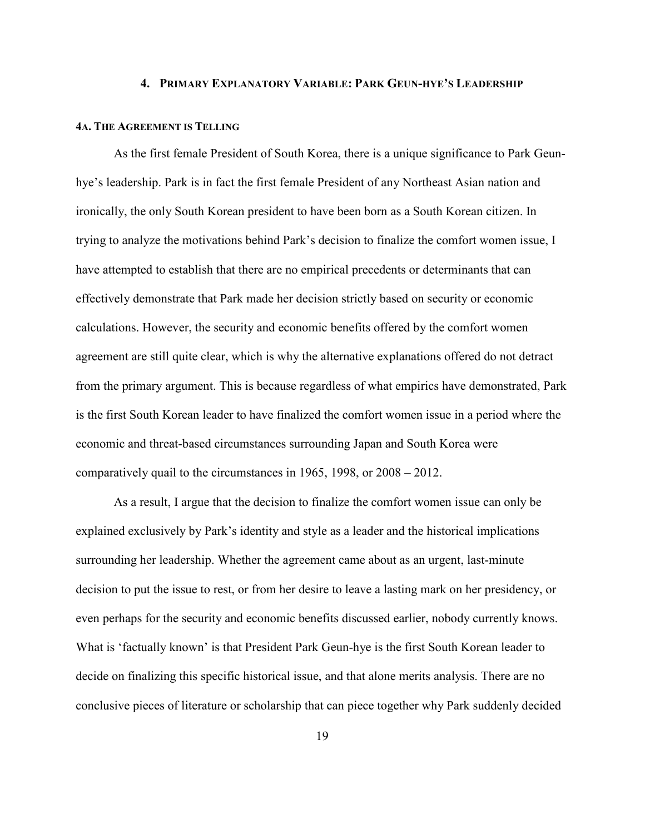#### **4. PRIMARY EXPLANATORY VARIABLE: PARK GEUN-HYE'S LEADERSHIP**

#### **4A. THE AGREEMENT IS TELLING**

 As the first female President of South Korea, there is a unique significance to Park Geunhye's leadership. Park is in fact the first female President of any Northeast Asian nation and ironically, the only South Korean president to have been born as a South Korean citizen. In trying to analyze the motivations behind Park's decision to finalize the comfort women issue, I have attempted to establish that there are no empirical precedents or determinants that can effectively demonstrate that Park made her decision strictly based on security or economic calculations. However, the security and economic benefits offered by the comfort women agreement are still quite clear, which is why the alternative explanations offered do not detract from the primary argument. This is because regardless of what empirics have demonstrated, Park is the first South Korean leader to have finalized the comfort women issue in a period where the economic and threat-based circumstances surrounding Japan and South Korea were comparatively quail to the circumstances in 1965, 1998, or 2008 – 2012.

 As a result, I argue that the decision to finalize the comfort women issue can only be explained exclusively by Park's identity and style as a leader and the historical implications surrounding her leadership. Whether the agreement came about as an urgent, last-minute decision to put the issue to rest, or from her desire to leave a lasting mark on her presidency, or even perhaps for the security and economic benefits discussed earlier, nobody currently knows. What is 'factually known' is that President Park Geun-hye is the first South Korean leader to decide on finalizing this specific historical issue, and that alone merits analysis. There are no conclusive pieces of literature or scholarship that can piece together why Park suddenly decided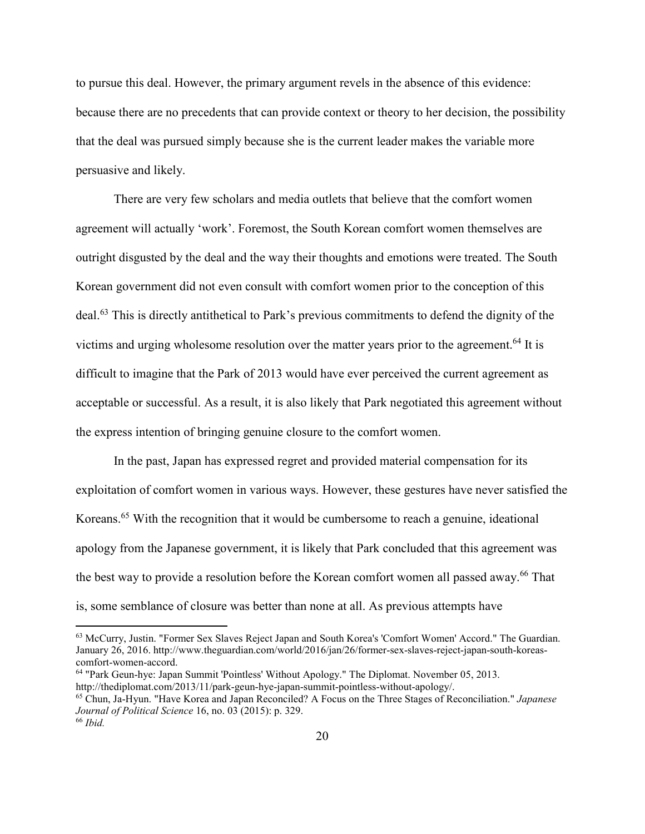to pursue this deal. However, the primary argument revels in the absence of this evidence: because there are no precedents that can provide context or theory to her decision, the possibility that the deal was pursued simply because she is the current leader makes the variable more persuasive and likely.

 There are very few scholars and media outlets that believe that the comfort women agreement will actually 'work'. Foremost, the South Korean comfort women themselves are outright disgusted by the deal and the way their thoughts and emotions were treated. The South Korean government did not even consult with comfort women prior to the conception of this deal.<sup>63</sup> This is directly antithetical to Park's previous commitments to defend the dignity of the victims and urging wholesome resolution over the matter years prior to the agreement.<sup>64</sup> It is difficult to imagine that the Park of 2013 would have ever perceived the current agreement as acceptable or successful. As a result, it is also likely that Park negotiated this agreement without the express intention of bringing genuine closure to the comfort women.

 In the past, Japan has expressed regret and provided material compensation for its exploitation of comfort women in various ways. However, these gestures have never satisfied the Koreans.<sup>65</sup> With the recognition that it would be cumbersome to reach a genuine, ideational apology from the Japanese government, it is likely that Park concluded that this agreement was the best way to provide a resolution before the Korean comfort women all passed away.<sup>66</sup> That is, some semblance of closure was better than none at all. As previous attempts have

-

<sup>63</sup> McCurry, Justin. "Former Sex Slaves Reject Japan and South Korea's 'Comfort Women' Accord." The Guardian. January 26, 2016. http://www.theguardian.com/world/2016/jan/26/former-sex-slaves-reject-japan-south-koreascomfort-women-accord.

<sup>64</sup> "Park Geun-hye: Japan Summit 'Pointless' Without Apology." The Diplomat. November 05, 2013. http://thediplomat.com/2013/11/park-geun-hye-japan-summit-pointless-without-apology/.

<sup>65</sup> Chun, Ja-Hyun. "Have Korea and Japan Reconciled? A Focus on the Three Stages of Reconciliation." *Japanese Journal of Political Science* 16, no. 03 (2015): p. 329.

<sup>66</sup> *Ibid.*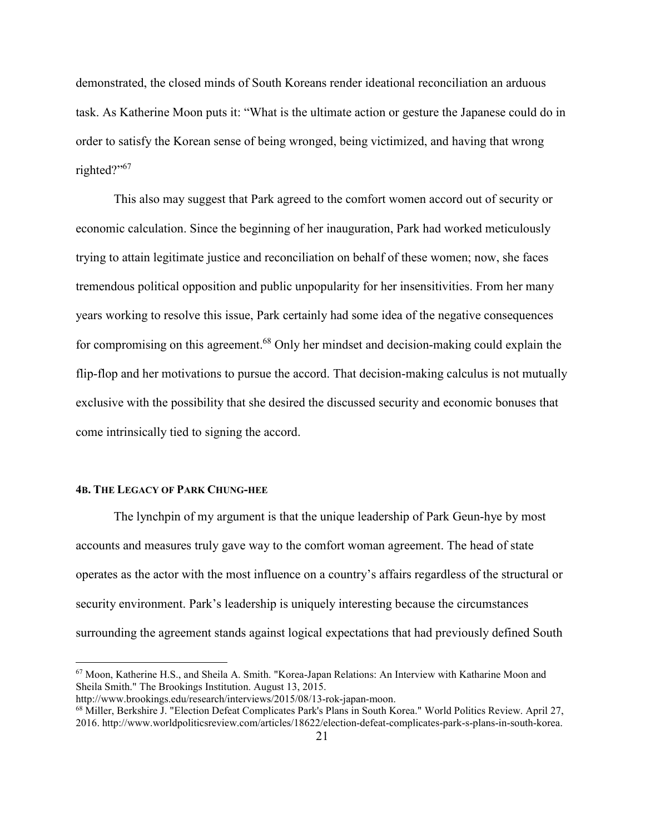demonstrated, the closed minds of South Koreans render ideational reconciliation an arduous task. As Katherine Moon puts it: "What is the ultimate action or gesture the Japanese could do in order to satisfy the Korean sense of being wronged, being victimized, and having that wrong righted?"<sup>67</sup>

 This also may suggest that Park agreed to the comfort women accord out of security or economic calculation. Since the beginning of her inauguration, Park had worked meticulously trying to attain legitimate justice and reconciliation on behalf of these women; now, she faces tremendous political opposition and public unpopularity for her insensitivities. From her many years working to resolve this issue, Park certainly had some idea of the negative consequences for compromising on this agreement.<sup>68</sup> Only her mindset and decision-making could explain the flip-flop and her motivations to pursue the accord. That decision-making calculus is not mutually exclusive with the possibility that she desired the discussed security and economic bonuses that come intrinsically tied to signing the accord.

#### **4B. THE LEGACY OF PARK CHUNG-HEE**

 $\overline{a}$ 

 The lynchpin of my argument is that the unique leadership of Park Geun-hye by most accounts and measures truly gave way to the comfort woman agreement. The head of state operates as the actor with the most influence on a country's affairs regardless of the structural or security environment. Park's leadership is uniquely interesting because the circumstances surrounding the agreement stands against logical expectations that had previously defined South

<sup>67</sup> Moon, Katherine H.S., and Sheila A. Smith. "Korea-Japan Relations: An Interview with Katharine Moon and Sheila Smith." The Brookings Institution. August 13, 2015.

http://www.brookings.edu/research/interviews/2015/08/13-rok-japan-moon.

<sup>68</sup> Miller, Berkshire J. "Election Defeat Complicates Park's Plans in South Korea." World Politics Review. April 27, 2016. http://www.worldpoliticsreview.com/articles/18622/election-defeat-complicates-park-s-plans-in-south-korea.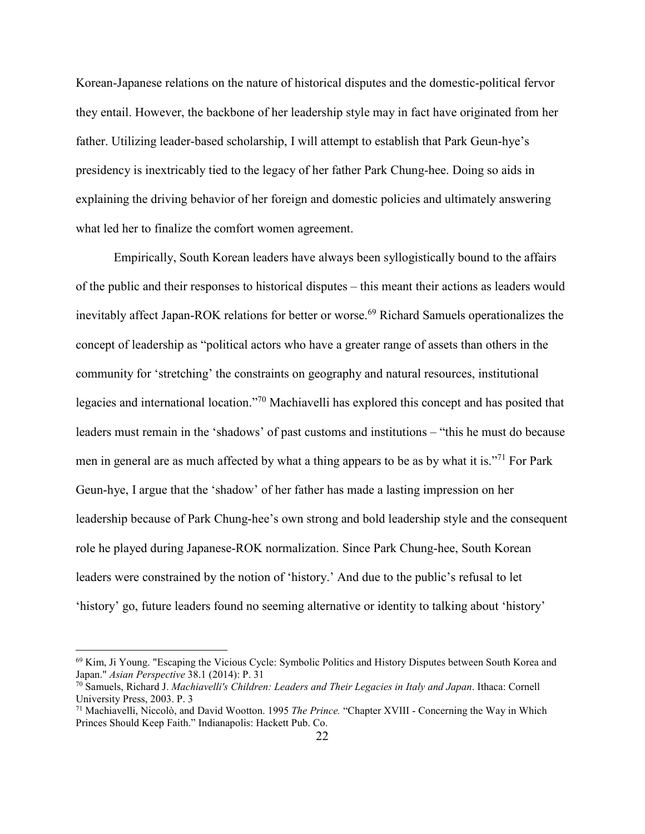Korean-Japanese relations on the nature of historical disputes and the domestic-political fervor they entail. However, the backbone of her leadership style may in fact have originated from her father. Utilizing leader-based scholarship, I will attempt to establish that Park Geun-hye's presidency is inextricably tied to the legacy of her father Park Chung-hee. Doing so aids in explaining the driving behavior of her foreign and domestic policies and ultimately answering what led her to finalize the comfort women agreement.

 Empirically, South Korean leaders have always been syllogistically bound to the affairs of the public and their responses to historical disputes – this meant their actions as leaders would inevitably affect Japan-ROK relations for better or worse.<sup>69</sup> Richard Samuels operationalizes the concept of leadership as "political actors who have a greater range of assets than others in the community for 'stretching' the constraints on geography and natural resources, institutional legacies and international location."<sup>70</sup> Machiavelli has explored this concept and has posited that leaders must remain in the 'shadows' of past customs and institutions – "this he must do because men in general are as much affected by what a thing appears to be as by what it is."<sup>71</sup> For Park Geun-hye, I argue that the 'shadow' of her father has made a lasting impression on her leadership because of Park Chung-hee's own strong and bold leadership style and the consequent role he played during Japanese-ROK normalization. Since Park Chung-hee, South Korean leaders were constrained by the notion of 'history.' And due to the public's refusal to let 'history' go, future leaders found no seeming alternative or identity to talking about 'history'

<sup>69</sup> Kim, Ji Young. "Escaping the Vicious Cycle: Symbolic Politics and History Disputes between South Korea and Japan." *Asian Perspective* 38.1 (2014): P. 31

<sup>70</sup> Samuels, Richard J. *Machiavelli's Children: Leaders and Their Legacies in Italy and Japan*. Ithaca: Cornell University Press, 2003. P. 3

<sup>71</sup> Machiavelli, Niccolò, and David Wootton. 1995 *The Prince.* "Chapter XVIII - Concerning the Way in Which Princes Should Keep Faith." Indianapolis: Hackett Pub. Co.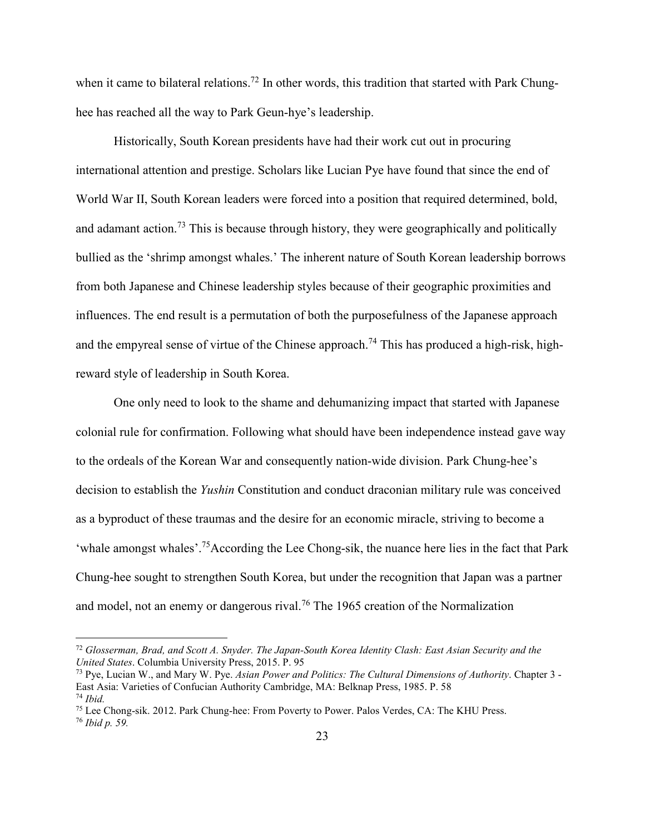when it came to bilateral relations.<sup>72</sup> In other words, this tradition that started with Park Chunghee has reached all the way to Park Geun-hye's leadership.

 Historically, South Korean presidents have had their work cut out in procuring international attention and prestige. Scholars like Lucian Pye have found that since the end of World War II, South Korean leaders were forced into a position that required determined, bold, and adamant action.<sup>73</sup> This is because through history, they were geographically and politically bullied as the 'shrimp amongst whales.' The inherent nature of South Korean leadership borrows from both Japanese and Chinese leadership styles because of their geographic proximities and influences. The end result is a permutation of both the purposefulness of the Japanese approach and the empyreal sense of virtue of the Chinese approach.<sup>74</sup> This has produced a high-risk, highreward style of leadership in South Korea.

 One only need to look to the shame and dehumanizing impact that started with Japanese colonial rule for confirmation. Following what should have been independence instead gave way to the ordeals of the Korean War and consequently nation-wide division. Park Chung-hee's decision to establish the *Yushin* Constitution and conduct draconian military rule was conceived as a byproduct of these traumas and the desire for an economic miracle, striving to become a 'whale amongst whales'.<sup>75</sup>According the Lee Chong-sik, the nuance here lies in the fact that Park Chung-hee sought to strengthen South Korea, but under the recognition that Japan was a partner and model, not an enemy or dangerous rival.<sup>76</sup> The 1965 creation of the Normalization

-

<sup>72</sup> *Glosserman, Brad, and Scott A. Snyder. The Japan-South Korea Identity Clash: East Asian Security and the United States*. Columbia University Press, 2015. P. 95

<sup>73</sup> Pye, Lucian W., and Mary W. Pye. *Asian Power and Politics: The Cultural Dimensions of Authority*. Chapter 3 - East Asia: Varieties of Confucian Authority Cambridge, MA: Belknap Press, 1985. P. 58 <sup>74</sup> *Ibid.* 

<sup>75</sup> Lee Chong-sik. 2012. Park Chung-hee: From Poverty to Power. Palos Verdes, CA: The KHU Press.

<sup>76</sup> *Ibid p. 59.*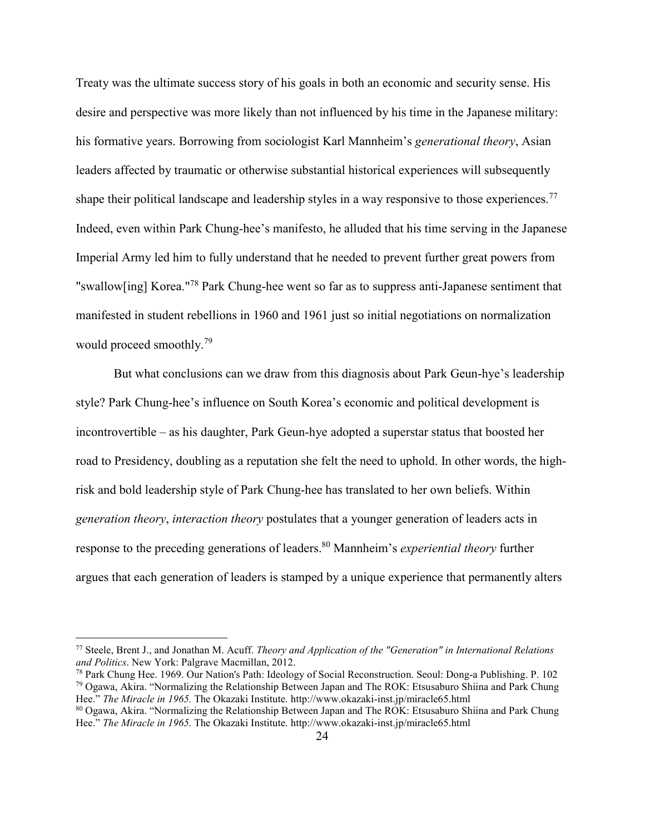Treaty was the ultimate success story of his goals in both an economic and security sense. His desire and perspective was more likely than not influenced by his time in the Japanese military: his formative years. Borrowing from sociologist Karl Mannheim's *generational theory*, Asian leaders affected by traumatic or otherwise substantial historical experiences will subsequently shape their political landscape and leadership styles in a way responsive to those experiences.<sup>77</sup> Indeed, even within Park Chung-hee's manifesto, he alluded that his time serving in the Japanese Imperial Army led him to fully understand that he needed to prevent further great powers from "swallow[ing] Korea."<sup>78</sup> Park Chung-hee went so far as to suppress anti-Japanese sentiment that manifested in student rebellions in 1960 and 1961 just so initial negotiations on normalization would proceed smoothly.<sup>79</sup>

 But what conclusions can we draw from this diagnosis about Park Geun-hye's leadership style? Park Chung-hee's influence on South Korea's economic and political development is incontrovertible – as his daughter, Park Geun-hye adopted a superstar status that boosted her road to Presidency, doubling as a reputation she felt the need to uphold. In other words, the highrisk and bold leadership style of Park Chung-hee has translated to her own beliefs. Within *generation theory*, *interaction theory* postulates that a younger generation of leaders acts in response to the preceding generations of leaders.<sup>80</sup> Mannheim's *experiential theory* further argues that each generation of leaders is stamped by a unique experience that permanently alters

-

<sup>77</sup> Steele, Brent J., and Jonathan M. Acuff. *Theory and Application of the "Generation" in International Relations and Politics*. New York: Palgrave Macmillan, 2012.

<sup>78</sup> Park Chung Hee. 1969. Our Nation's Path: Ideology of Social Reconstruction. Seoul: Dong-a Publishing. P. 102 <sup>79</sup> Ogawa, Akira. "Normalizing the Relationship Between Japan and The ROK: Etsusaburo Shiina and Park Chung Hee." *The Miracle in 1965.* The Okazaki Institute. http://www.okazaki-inst.jp/miracle65.html

<sup>80</sup> Ogawa, Akira. "Normalizing the Relationship Between Japan and The ROK: Etsusaburo Shiina and Park Chung Hee." *The Miracle in 1965.* The Okazaki Institute. http://www.okazaki-inst.jp/miracle65.html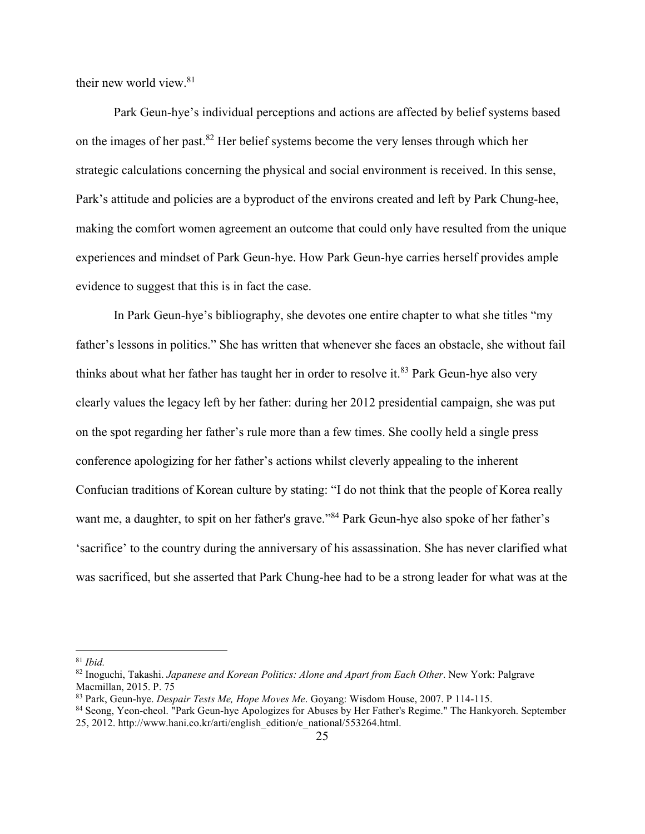their new world view.<sup>81</sup>

 Park Geun-hye's individual perceptions and actions are affected by belief systems based on the images of her past.<sup>82</sup> Her belief systems become the very lenses through which her strategic calculations concerning the physical and social environment is received. In this sense, Park's attitude and policies are a byproduct of the environs created and left by Park Chung-hee, making the comfort women agreement an outcome that could only have resulted from the unique experiences and mindset of Park Geun-hye. How Park Geun-hye carries herself provides ample evidence to suggest that this is in fact the case.

 In Park Geun-hye's bibliography, she devotes one entire chapter to what she titles "my father's lessons in politics." She has written that whenever she faces an obstacle, she without fail thinks about what her father has taught her in order to resolve it.<sup>83</sup> Park Geun-hye also very clearly values the legacy left by her father: during her 2012 presidential campaign, she was put on the spot regarding her father's rule more than a few times. She coolly held a single press conference apologizing for her father's actions whilst cleverly appealing to the inherent Confucian traditions of Korean culture by stating: "I do not think that the people of Korea really want me, a daughter, to spit on her father's grave."<sup>84</sup> Park Geun-hye also spoke of her father's 'sacrifice' to the country during the anniversary of his assassination. She has never clarified what was sacrificed, but she asserted that Park Chung-hee had to be a strong leader for what was at the

<sup>81</sup> *Ibid.* 

<sup>82</sup> Inoguchi, Takashi. *Japanese and Korean Politics: Alone and Apart from Each Other*. New York: Palgrave Macmillan, 2015. P. 75

<sup>83</sup> Park, Geun-hye. *Despair Tests Me, Hope Moves Me*. Goyang: Wisdom House, 2007. P 114-115.

<sup>84</sup> Seong, Yeon-cheol. "Park Geun-hye Apologizes for Abuses by Her Father's Regime." The Hankyoreh. September 25, 2012. http://www.hani.co.kr/arti/english\_edition/e\_national/553264.html.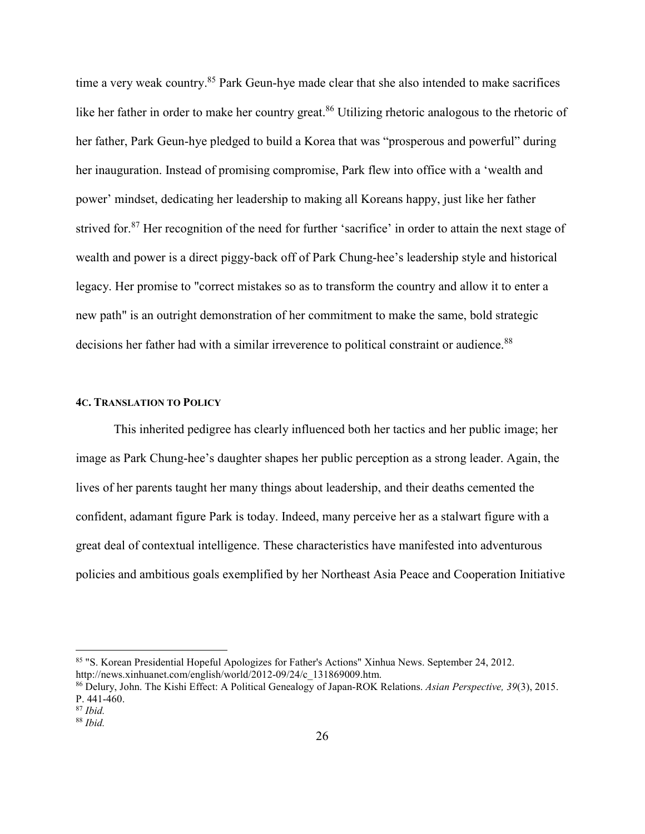time a very weak country.<sup>85</sup> Park Geun-hye made clear that she also intended to make sacrifices like her father in order to make her country great.<sup>86</sup> Utilizing rhetoric analogous to the rhetoric of her father, Park Geun-hye pledged to build a Korea that was "prosperous and powerful" during her inauguration. Instead of promising compromise, Park flew into office with a 'wealth and power' mindset, dedicating her leadership to making all Koreans happy, just like her father strived for.<sup>87</sup> Her recognition of the need for further 'sacrifice' in order to attain the next stage of wealth and power is a direct piggy-back off of Park Chung-hee's leadership style and historical legacy. Her promise to "correct mistakes so as to transform the country and allow it to enter a new path" is an outright demonstration of her commitment to make the same, bold strategic decisions her father had with a similar irreverence to political constraint or audience.<sup>88</sup>

## **4C. TRANSLATION TO POLICY**

 This inherited pedigree has clearly influenced both her tactics and her public image; her image as Park Chung-hee's daughter shapes her public perception as a strong leader. Again, the lives of her parents taught her many things about leadership, and their deaths cemented the confident, adamant figure Park is today. Indeed, many perceive her as a stalwart figure with a great deal of contextual intelligence. These characteristics have manifested into adventurous policies and ambitious goals exemplified by her Northeast Asia Peace and Cooperation Initiative

<sup>85</sup> "S. Korean Presidential Hopeful Apologizes for Father's Actions" Xinhua News. September 24, 2012. http://news.xinhuanet.com/english/world/2012-09/24/c\_131869009.htm.

<sup>86</sup> Delury, John. The Kishi Effect: A Political Genealogy of Japan-ROK Relations. *Asian Perspective, 39*(3), 2015. P. 441-460.

<sup>87</sup> *Ibid.* 

<sup>88</sup> *Ibid.*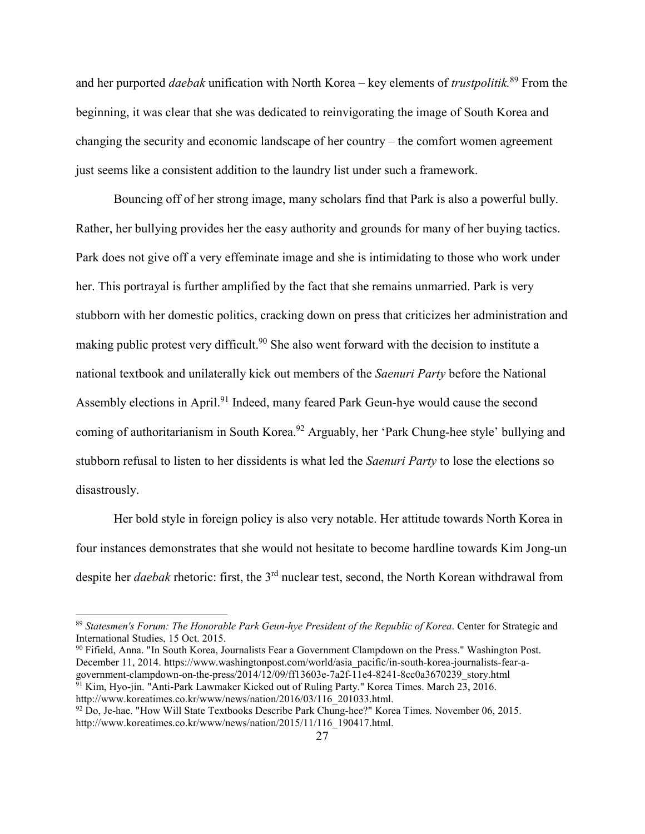and her purported *daebak* unification with North Korea – key elements of *trustpolitik.*<sup>89</sup> From the beginning, it was clear that she was dedicated to reinvigorating the image of South Korea and changing the security and economic landscape of her country – the comfort women agreement just seems like a consistent addition to the laundry list under such a framework.

 Bouncing off of her strong image, many scholars find that Park is also a powerful bully. Rather, her bullying provides her the easy authority and grounds for many of her buying tactics. Park does not give off a very effeminate image and she is intimidating to those who work under her. This portrayal is further amplified by the fact that she remains unmarried. Park is very stubborn with her domestic politics, cracking down on press that criticizes her administration and making public protest very difficult.<sup>90</sup> She also went forward with the decision to institute a national textbook and unilaterally kick out members of the *Saenuri Party* before the National Assembly elections in April.<sup>91</sup> Indeed, many feared Park Geun-hye would cause the second coming of authoritarianism in South Korea.<sup>92</sup> Arguably, her 'Park Chung-hee style' bullying and stubborn refusal to listen to her dissidents is what led the *Saenuri Party* to lose the elections so disastrously.

 Her bold style in foreign policy is also very notable. Her attitude towards North Korea in four instances demonstrates that she would not hesitate to become hardline towards Kim Jong-un despite her *daebak* rhetoric: first, the 3rd nuclear test, second, the North Korean withdrawal from

<sup>90</sup> Fifield, Anna. "In South Korea, Journalists Fear a Government Clampdown on the Press." Washington Post. December 11, 2014. https://www.washingtonpost.com/world/asia\_pacific/in-south-korea-journalists-fear-agovernment-clampdown-on-the-press/2014/12/09/ff13603e-7a2f-11e4-8241-8cc0a3670239\_story.html

<sup>91</sup> Kim, Hyo-jin. "Anti-Park Lawmaker Kicked out of Ruling Party." Korea Times. March 23, 2016. http://www.koreatimes.co.kr/www/news/nation/2016/03/116\_201033.html.

<sup>89</sup> *Statesmen's Forum: The Honorable Park Geun-hye President of the Republic of Korea*. Center for Strategic and International Studies, 15 Oct. 2015.

<sup>92</sup> Do, Je-hae. "How Will State Textbooks Describe Park Chung-hee?" Korea Times. November 06, 2015. http://www.koreatimes.co.kr/www/news/nation/2015/11/116\_190417.html.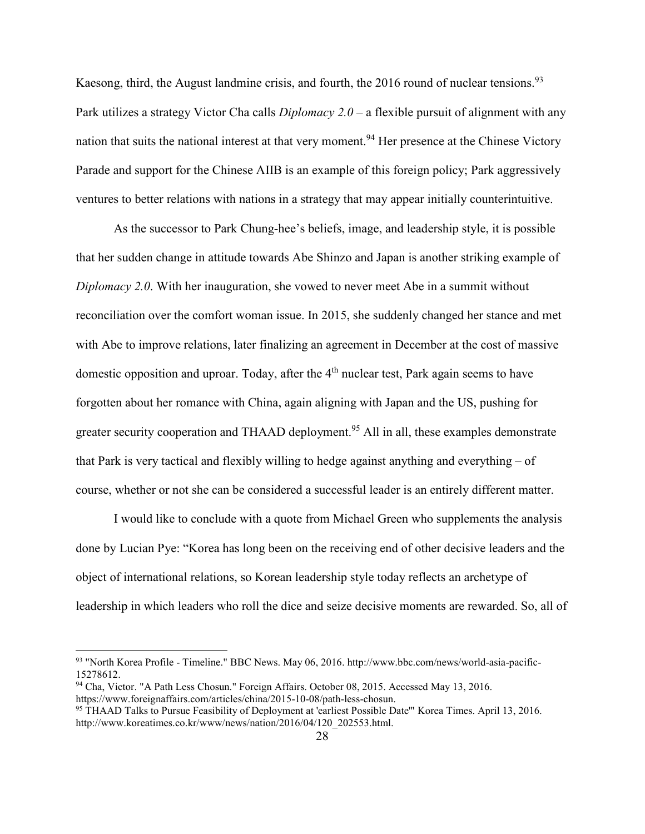Kaesong, third, the August landmine crisis, and fourth, the 2016 round of nuclear tensions.<sup>93</sup> Park utilizes a strategy Victor Cha calls *Diplomacy 2.0* – a flexible pursuit of alignment with any nation that suits the national interest at that very moment.<sup>94</sup> Her presence at the Chinese Victory Parade and support for the Chinese AIIB is an example of this foreign policy; Park aggressively ventures to better relations with nations in a strategy that may appear initially counterintuitive.

 As the successor to Park Chung-hee's beliefs, image, and leadership style, it is possible that her sudden change in attitude towards Abe Shinzo and Japan is another striking example of *Diplomacy 2.0*. With her inauguration, she vowed to never meet Abe in a summit without reconciliation over the comfort woman issue. In 2015, she suddenly changed her stance and met with Abe to improve relations, later finalizing an agreement in December at the cost of massive domestic opposition and uproar. Today, after the 4<sup>th</sup> nuclear test, Park again seems to have forgotten about her romance with China, again aligning with Japan and the US, pushing for greater security cooperation and THAAD deployment.<sup>95</sup> All in all, these examples demonstrate that Park is very tactical and flexibly willing to hedge against anything and everything – of course, whether or not she can be considered a successful leader is an entirely different matter.

 I would like to conclude with a quote from Michael Green who supplements the analysis done by Lucian Pye: "Korea has long been on the receiving end of other decisive leaders and the object of international relations, so Korean leadership style today reflects an archetype of leadership in which leaders who roll the dice and seize decisive moments are rewarded. So, all of

<u>.</u>

<sup>93</sup> "North Korea Profile - Timeline." BBC News. May 06, 2016. http://www.bbc.com/news/world-asia-pacific-15278612.

<sup>94</sup> Cha, Victor. "A Path Less Chosun." Foreign Affairs. October 08, 2015. Accessed May 13, 2016. https://www.foreignaffairs.com/articles/china/2015-10-08/path-less-chosun.

<sup>95</sup> THAAD Talks to Pursue Feasibility of Deployment at 'earliest Possible Date'" Korea Times. April 13, 2016. http://www.koreatimes.co.kr/www/news/nation/2016/04/120\_202553.html.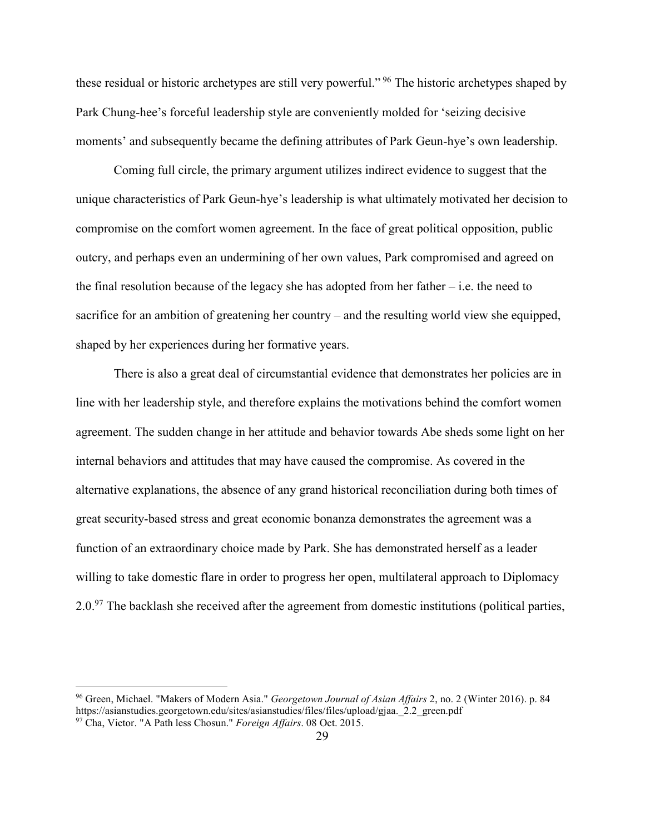these residual or historic archetypes are still very powerful."<sup>96</sup> The historic archetypes shaped by Park Chung-hee's forceful leadership style are conveniently molded for 'seizing decisive moments' and subsequently became the defining attributes of Park Geun-hye's own leadership.

 Coming full circle, the primary argument utilizes indirect evidence to suggest that the unique characteristics of Park Geun-hye's leadership is what ultimately motivated her decision to compromise on the comfort women agreement. In the face of great political opposition, public outcry, and perhaps even an undermining of her own values, Park compromised and agreed on the final resolution because of the legacy she has adopted from her father  $-i.e.$  the need to sacrifice for an ambition of greatening her country – and the resulting world view she equipped, shaped by her experiences during her formative years.

 There is also a great deal of circumstantial evidence that demonstrates her policies are in line with her leadership style, and therefore explains the motivations behind the comfort women agreement. The sudden change in her attitude and behavior towards Abe sheds some light on her internal behaviors and attitudes that may have caused the compromise. As covered in the alternative explanations, the absence of any grand historical reconciliation during both times of great security-based stress and great economic bonanza demonstrates the agreement was a function of an extraordinary choice made by Park. She has demonstrated herself as a leader willing to take domestic flare in order to progress her open, multilateral approach to Diplomacy  $2.0<sup>97</sup>$  The backlash she received after the agreement from domestic institutions (political parties,

<sup>96</sup> Green, Michael. "Makers of Modern Asia." *Georgetown Journal of Asian Affairs* 2, no. 2 (Winter 2016). p. 84 https://asianstudies.georgetown.edu/sites/asianstudies/files/files/upload/gjaa. 2.2 green.pdf 97 Cha, Victor. "A Path less Chosun." *Foreign Affairs*. 08 Oct. 2015.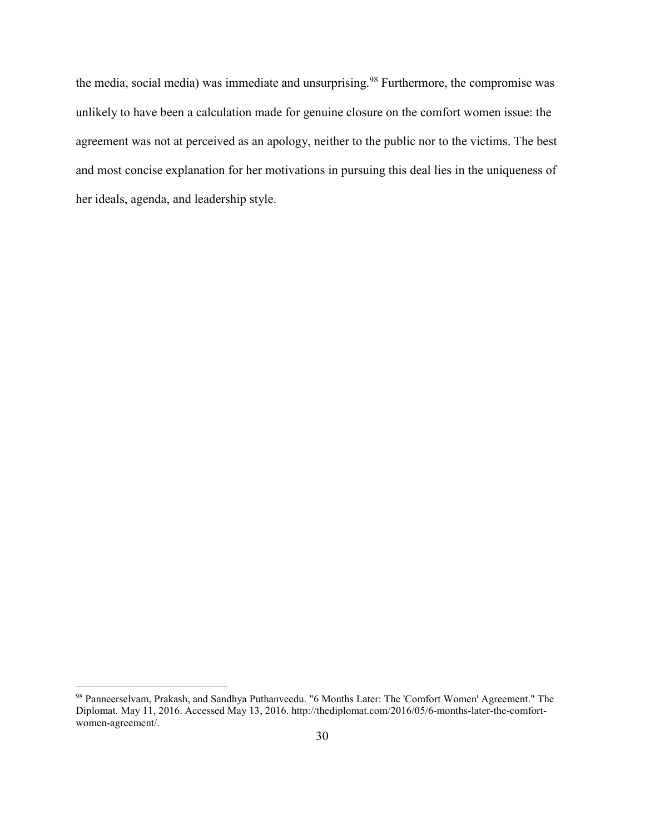the media, social media) was immediate and unsurprising.<sup>98</sup> Furthermore, the compromise was unlikely to have been a calculation made for genuine closure on the comfort women issue: the agreement was not at perceived as an apology, neither to the public nor to the victims. The best and most concise explanation for her motivations in pursuing this deal lies in the uniqueness of her ideals, agenda, and leadership style.

<sup>98</sup> Panneerselvam, Prakash, and Sandhya Puthanveedu. "6 Months Later: The 'Comfort Women' Agreement." The Diplomat. May 11, 2016. Accessed May 13, 2016. http://thediplomat.com/2016/05/6-months-later-the-comfortwomen-agreement/.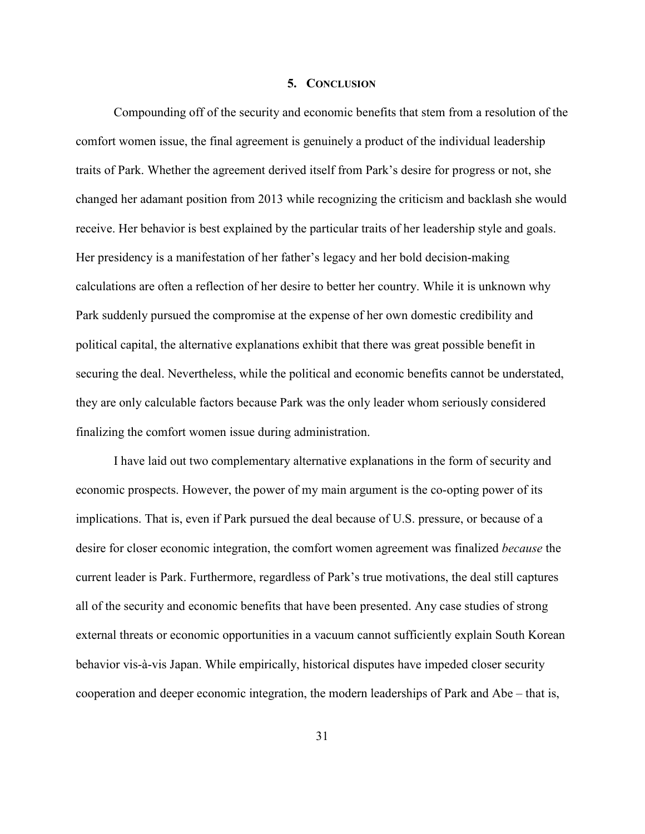### **5. CONCLUSION**

 Compounding off of the security and economic benefits that stem from a resolution of the comfort women issue, the final agreement is genuinely a product of the individual leadership traits of Park. Whether the agreement derived itself from Park's desire for progress or not, she changed her adamant position from 2013 while recognizing the criticism and backlash she would receive. Her behavior is best explained by the particular traits of her leadership style and goals. Her presidency is a manifestation of her father's legacy and her bold decision-making calculations are often a reflection of her desire to better her country. While it is unknown why Park suddenly pursued the compromise at the expense of her own domestic credibility and political capital, the alternative explanations exhibit that there was great possible benefit in securing the deal. Nevertheless, while the political and economic benefits cannot be understated, they are only calculable factors because Park was the only leader whom seriously considered finalizing the comfort women issue during administration.

 I have laid out two complementary alternative explanations in the form of security and economic prospects. However, the power of my main argument is the co-opting power of its implications. That is, even if Park pursued the deal because of U.S. pressure, or because of a desire for closer economic integration, the comfort women agreement was finalized *because* the current leader is Park. Furthermore, regardless of Park's true motivations, the deal still captures all of the security and economic benefits that have been presented. Any case studies of strong external threats or economic opportunities in a vacuum cannot sufficiently explain South Korean behavior vis-à-vis Japan. While empirically, historical disputes have impeded closer security cooperation and deeper economic integration, the modern leaderships of Park and Abe – that is,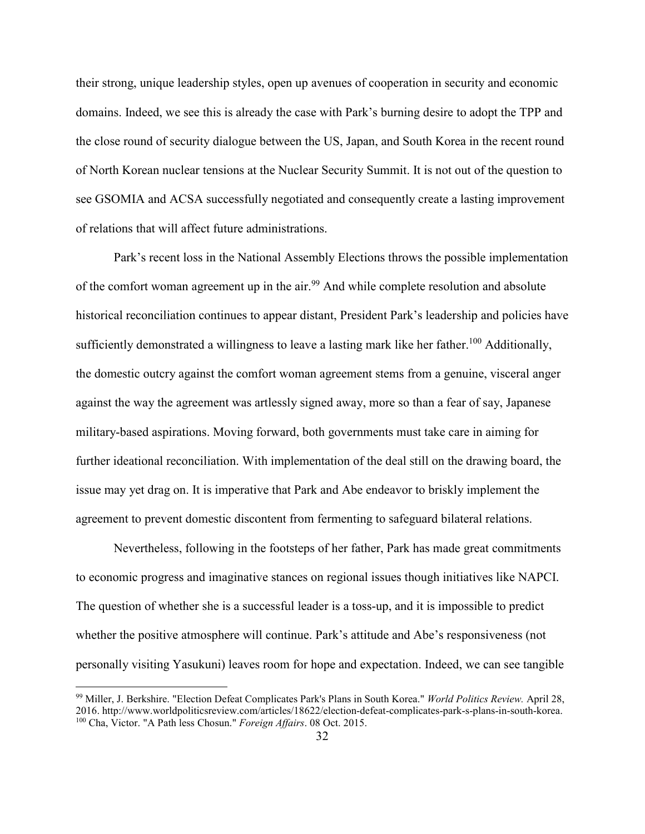their strong, unique leadership styles, open up avenues of cooperation in security and economic domains. Indeed, we see this is already the case with Park's burning desire to adopt the TPP and the close round of security dialogue between the US, Japan, and South Korea in the recent round of North Korean nuclear tensions at the Nuclear Security Summit. It is not out of the question to see GSOMIA and ACSA successfully negotiated and consequently create a lasting improvement of relations that will affect future administrations.

 Park's recent loss in the National Assembly Elections throws the possible implementation of the comfort woman agreement up in the air.<sup>99</sup> And while complete resolution and absolute historical reconciliation continues to appear distant, President Park's leadership and policies have sufficiently demonstrated a willingness to leave a lasting mark like her father.<sup>100</sup> Additionally, the domestic outcry against the comfort woman agreement stems from a genuine, visceral anger against the way the agreement was artlessly signed away, more so than a fear of say, Japanese military-based aspirations. Moving forward, both governments must take care in aiming for further ideational reconciliation. With implementation of the deal still on the drawing board, the issue may yet drag on. It is imperative that Park and Abe endeavor to briskly implement the agreement to prevent domestic discontent from fermenting to safeguard bilateral relations.

 Nevertheless, following in the footsteps of her father, Park has made great commitments to economic progress and imaginative stances on regional issues though initiatives like NAPCI. The question of whether she is a successful leader is a toss-up, and it is impossible to predict whether the positive atmosphere will continue. Park's attitude and Abe's responsiveness (not personally visiting Yasukuni) leaves room for hope and expectation. Indeed, we can see tangible

<u>.</u>

<sup>99</sup> Miller, J. Berkshire. "Election Defeat Complicates Park's Plans in South Korea." *World Politics Review.* April 28, 2016. http://www.worldpoliticsreview.com/articles/18622/election-defeat-complicates-park-s-plans-in-south-korea. 100 Cha, Victor. "A Path less Chosun." *Foreign Affairs*. 08 Oct. 2015.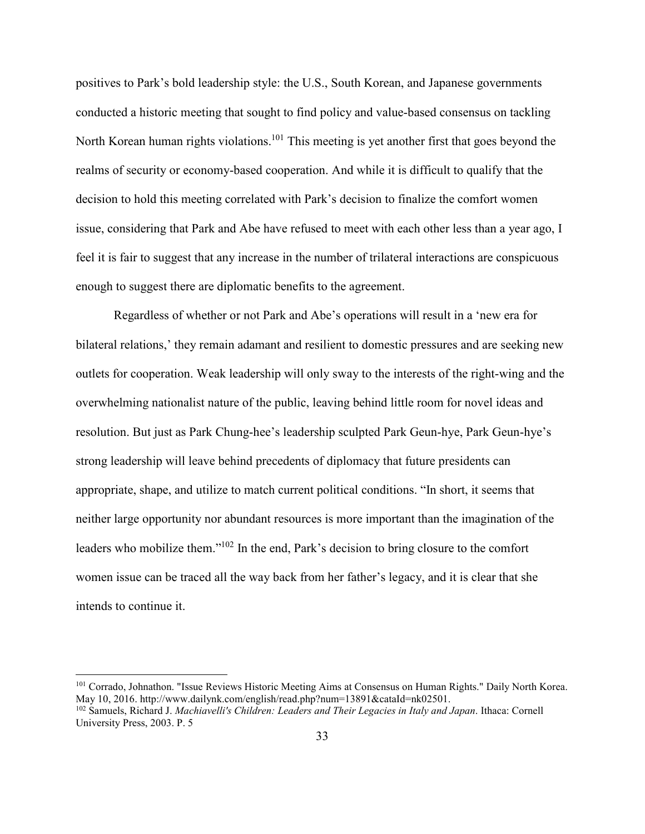positives to Park's bold leadership style: the U.S., South Korean, and Japanese governments conducted a historic meeting that sought to find policy and value-based consensus on tackling North Korean human rights violations.<sup>101</sup> This meeting is yet another first that goes beyond the realms of security or economy-based cooperation. And while it is difficult to qualify that the decision to hold this meeting correlated with Park's decision to finalize the comfort women issue, considering that Park and Abe have refused to meet with each other less than a year ago, I feel it is fair to suggest that any increase in the number of trilateral interactions are conspicuous enough to suggest there are diplomatic benefits to the agreement.

 Regardless of whether or not Park and Abe's operations will result in a 'new era for bilateral relations,' they remain adamant and resilient to domestic pressures and are seeking new outlets for cooperation. Weak leadership will only sway to the interests of the right-wing and the overwhelming nationalist nature of the public, leaving behind little room for novel ideas and resolution. But just as Park Chung-hee's leadership sculpted Park Geun-hye, Park Geun-hye's strong leadership will leave behind precedents of diplomacy that future presidents can appropriate, shape, and utilize to match current political conditions. "In short, it seems that neither large opportunity nor abundant resources is more important than the imagination of the leaders who mobilize them."<sup>102</sup> In the end, Park's decision to bring closure to the comfort women issue can be traced all the way back from her father's legacy, and it is clear that she intends to continue it.

-

<sup>101</sup> Corrado, Johnathon. "Issue Reviews Historic Meeting Aims at Consensus on Human Rights." Daily North Korea. May 10, 2016. http://www.dailynk.com/english/read.php?num=13891&cataId=nk02501. <sup>102</sup> Samuels, Richard J. *Machiavelli's Children: Leaders and Their Legacies in Italy and Japan*. Ithaca: Cornell University Press, 2003. P. 5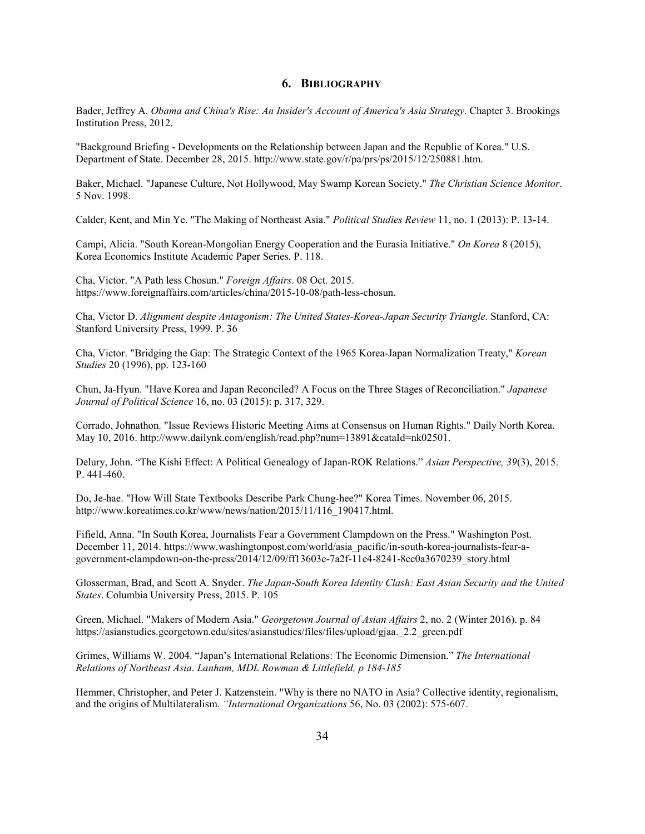#### **6. BIBLIOGRAPHY**

Bader, Jeffrey A. *Obama and China's Rise: An Insider's Account of America's Asia Strategy*. Chapter 3. Brookings Institution Press, 2012.

"Background Briefing - Developments on the Relationship between Japan and the Republic of Korea." U.S. Department of State. December 28, 2015. http://www.state.gov/r/pa/prs/ps/2015/12/250881.htm.

Baker, Michael. "Japanese Culture, Not Hollywood, May Swamp Korean Society." *The Christian Science Monitor*. 5 Nov. 1998.

Calder, Kent, and Min Ye. "The Making of Northeast Asia." *Political Studies Review* 11, no. 1 (2013): P. 13-14.

Campi, Alicia. "South Korean-Mongolian Energy Cooperation and the Eurasia Initiative." *On Korea* 8 (2015), Korea Economics Institute Academic Paper Series. P. 118.

Cha, Victor. "A Path less Chosun." *Foreign Affairs*. 08 Oct. 2015. https://www.foreignaffairs.com/articles/china/2015-10-08/path-less-chosun.

Cha, Victor D. *Alignment despite Antagonism: The United States-Korea-Japan Security Triangle*. Stanford, CA: Stanford University Press, 1999. P. 36

Cha, Victor. "Bridging the Gap: The Strategic Context of the 1965 Korea-Japan Normalization Treaty," *Korean Studies* 20 (1996), pp. 123-160

Chun, Ja-Hyun. "Have Korea and Japan Reconciled? A Focus on the Three Stages of Reconciliation." *Japanese Journal of Political Science* 16, no. 03 (2015): p. 317, 329.

Corrado, Johnathon. "Issue Reviews Historic Meeting Aims at Consensus on Human Rights." Daily North Korea. May 10, 2016. http://www.dailynk.com/english/read.php?num=13891&cataId=nk02501.

Delury, John. "The Kishi Effect: A Political Genealogy of Japan-ROK Relations." *Asian Perspective, 39*(3), 2015. P. 441-460.

Do, Je-hae. "How Will State Textbooks Describe Park Chung-hee?" Korea Times. November 06, 2015. http://www.koreatimes.co.kr/www/news/nation/2015/11/116\_190417.html.

Fifield, Anna. "In South Korea, Journalists Fear a Government Clampdown on the Press." Washington Post. December 11, 2014. https://www.washingtonpost.com/world/asia\_pacific/in-south-korea-journalists-fear-agovernment-clampdown-on-the-press/2014/12/09/ff13603e-7a2f-11e4-8241-8cc0a3670239\_story.html

Glosserman, Brad, and Scott A. Snyder. *The Japan-South Korea Identity Clash: East Asian Security and the United States*. Columbia University Press, 2015. P. 105

Green, Michael. "Makers of Modern Asia." *Georgetown Journal of Asian Affairs* 2, no. 2 (Winter 2016). p. 84 https://asianstudies.georgetown.edu/sites/asianstudies/files/files/upload/gjaa.\_2.2\_green.pdf

Grimes, Williams W. 2004. "Japan's International Relations: The Economic Dimension." *The International Relations of Northeast Asia. Lanham, MDL Rowman & Littlefield, p 184-185* 

Hemmer, Christopher, and Peter J. Katzenstein. "Why is there no NATO in Asia? Collective identity, regionalism, and the origins of Multilateralism. *"International Organizations* 56, No. 03 (2002): 575-607.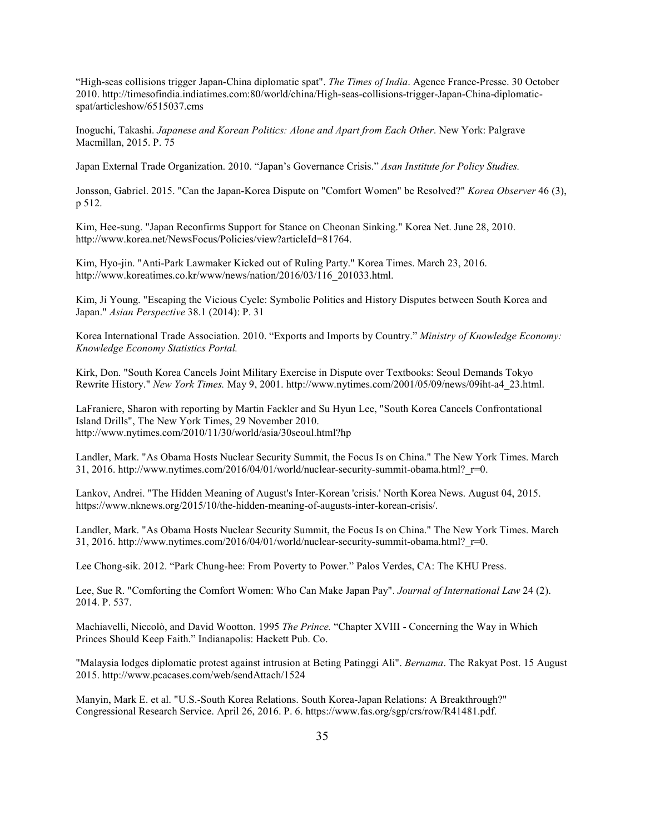"High-seas collisions trigger Japan-China diplomatic spat". *The Times of India*. Agence France-Presse. 30 October 2010. http://timesofindia.indiatimes.com:80/world/china/High-seas-collisions-trigger-Japan-China-diplomaticspat/articleshow/6515037.cms

Inoguchi, Takashi. *Japanese and Korean Politics: Alone and Apart from Each Other*. New York: Palgrave Macmillan, 2015. P. 75

Japan External Trade Organization. 2010. "Japan's Governance Crisis." *Asan Institute for Policy Studies.* 

Jonsson, Gabriel. 2015. "Can the Japan-Korea Dispute on "Comfort Women" be Resolved?" *Korea Observer* 46 (3), p 512.

Kim, Hee-sung. "Japan Reconfirms Support for Stance on Cheonan Sinking." Korea Net. June 28, 2010. http://www.korea.net/NewsFocus/Policies/view?articleId=81764.

Kim, Hyo-jin. "Anti-Park Lawmaker Kicked out of Ruling Party." Korea Times. March 23, 2016. http://www.koreatimes.co.kr/www/news/nation/2016/03/116\_201033.html.

Kim, Ji Young. "Escaping the Vicious Cycle: Symbolic Politics and History Disputes between South Korea and Japan." *Asian Perspective* 38.1 (2014): P. 31

Korea International Trade Association. 2010. "Exports and Imports by Country." *Ministry of Knowledge Economy: Knowledge Economy Statistics Portal.* 

Kirk, Don. "South Korea Cancels Joint Military Exercise in Dispute over Textbooks: Seoul Demands Tokyo Rewrite History." *New York Times.* May 9, 2001. http://www.nytimes.com/2001/05/09/news/09iht-a4\_23.html.

LaFraniere, Sharon with reporting by Martin Fackler and Su Hyun Lee, "South Korea Cancels Confrontational Island Drills", The New York Times, 29 November 2010. http://www.nytimes.com/2010/11/30/world/asia/30seoul.html?hp

Landler, Mark. "As Obama Hosts Nuclear Security Summit, the Focus Is on China." The New York Times. March 31, 2016. http://www.nytimes.com/2016/04/01/world/nuclear-security-summit-obama.html? $r=0$ .

Lankov, Andrei. "The Hidden Meaning of August's Inter-Korean 'crisis.' North Korea News. August 04, 2015. https://www.nknews.org/2015/10/the-hidden-meaning-of-augusts-inter-korean-crisis/.

Landler, Mark. "As Obama Hosts Nuclear Security Summit, the Focus Is on China." The New York Times. March 31, 2016. http://www.nytimes.com/2016/04/01/world/nuclear-security-summit-obama.html? $r=0$ .

Lee Chong-sik. 2012. "Park Chung-hee: From Poverty to Power." Palos Verdes, CA: The KHU Press.

Lee, Sue R. "Comforting the Comfort Women: Who Can Make Japan Pay". *Journal of International Law* 24 (2). 2014. P. 537.

Machiavelli, Niccolò, and David Wootton. 1995 *The Prince.* "Chapter XVIII - Concerning the Way in Which Princes Should Keep Faith." Indianapolis: Hackett Pub. Co.

"Malaysia lodges diplomatic protest against intrusion at Beting Patinggi Ali". *Bernama*. The Rakyat Post. 15 August 2015. http://www.pcacases.com/web/sendAttach/1524

Manyin, Mark E. et al. "U.S.-South Korea Relations. South Korea-Japan Relations: A Breakthrough?" Congressional Research Service. April 26, 2016. P. 6. https://www.fas.org/sgp/crs/row/R41481.pdf.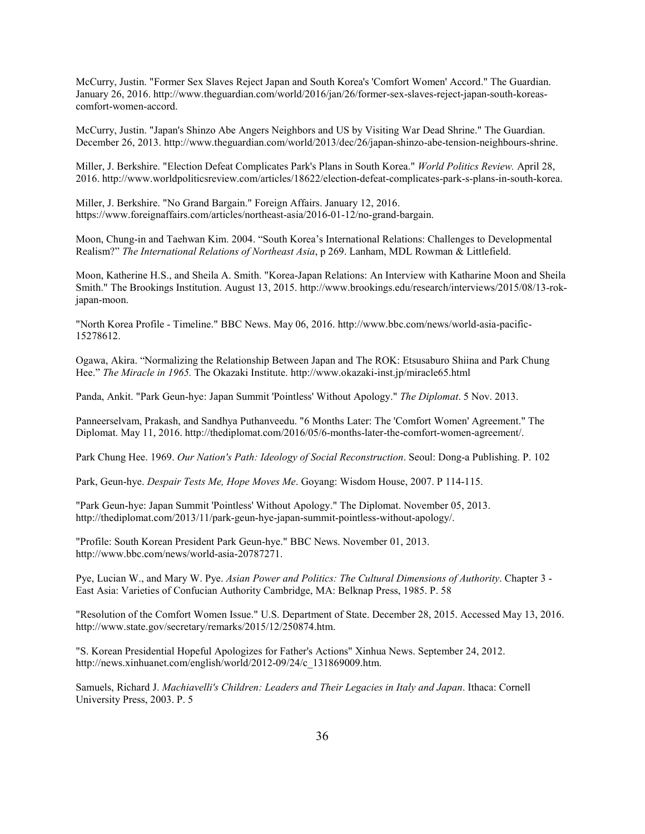McCurry, Justin. "Former Sex Slaves Reject Japan and South Korea's 'Comfort Women' Accord." The Guardian. January 26, 2016. http://www.theguardian.com/world/2016/jan/26/former-sex-slaves-reject-japan-south-koreascomfort-women-accord.

McCurry, Justin. "Japan's Shinzo Abe Angers Neighbors and US by Visiting War Dead Shrine." The Guardian. December 26, 2013. http://www.theguardian.com/world/2013/dec/26/japan-shinzo-abe-tension-neighbours-shrine.

Miller, J. Berkshire. "Election Defeat Complicates Park's Plans in South Korea." *World Politics Review.* April 28, 2016. http://www.worldpoliticsreview.com/articles/18622/election-defeat-complicates-park-s-plans-in-south-korea.

Miller, J. Berkshire. "No Grand Bargain." Foreign Affairs. January 12, 2016. https://www.foreignaffairs.com/articles/northeast-asia/2016-01-12/no-grand-bargain.

Moon, Chung-in and Taehwan Kim. 2004. "South Korea's International Relations: Challenges to Developmental Realism?" *The International Relations of Northeast Asia*, p 269. Lanham, MDL Rowman & Littlefield.

Moon, Katherine H.S., and Sheila A. Smith. "Korea-Japan Relations: An Interview with Katharine Moon and Sheila Smith." The Brookings Institution. August 13, 2015. http://www.brookings.edu/research/interviews/2015/08/13-rokjapan-moon.

"North Korea Profile - Timeline." BBC News. May 06, 2016. http://www.bbc.com/news/world-asia-pacific-15278612.

Ogawa, Akira. "Normalizing the Relationship Between Japan and The ROK: Etsusaburo Shiina and Park Chung Hee." *The Miracle in 1965.* The Okazaki Institute. http://www.okazaki-inst.jp/miracle65.html

Panda, Ankit. "Park Geun-hye: Japan Summit 'Pointless' Without Apology." *The Diplomat*. 5 Nov. 2013.

Panneerselvam, Prakash, and Sandhya Puthanveedu. "6 Months Later: The 'Comfort Women' Agreement." The Diplomat. May 11, 2016. http://thediplomat.com/2016/05/6-months-later-the-comfort-women-agreement/.

Park Chung Hee. 1969. *Our Nation's Path: Ideology of Social Reconstruction*. Seoul: Dong-a Publishing. P. 102

Park, Geun-hye. *Despair Tests Me, Hope Moves Me*. Goyang: Wisdom House, 2007. P 114-115.

"Park Geun-hye: Japan Summit 'Pointless' Without Apology." The Diplomat. November 05, 2013. http://thediplomat.com/2013/11/park-geun-hye-japan-summit-pointless-without-apology/.

"Profile: South Korean President Park Geun-hye." BBC News. November 01, 2013. http://www.bbc.com/news/world-asia-20787271.

Pye, Lucian W., and Mary W. Pye. *Asian Power and Politics: The Cultural Dimensions of Authority*. Chapter 3 - East Asia: Varieties of Confucian Authority Cambridge, MA: Belknap Press, 1985. P. 58

"Resolution of the Comfort Women Issue." U.S. Department of State. December 28, 2015. Accessed May 13, 2016. http://www.state.gov/secretary/remarks/2015/12/250874.htm.

"S. Korean Presidential Hopeful Apologizes for Father's Actions" Xinhua News. September 24, 2012. http://news.xinhuanet.com/english/world/2012-09/24/c\_131869009.htm.

Samuels, Richard J. *Machiavelli's Children: Leaders and Their Legacies in Italy and Japan*. Ithaca: Cornell University Press, 2003. P. 5